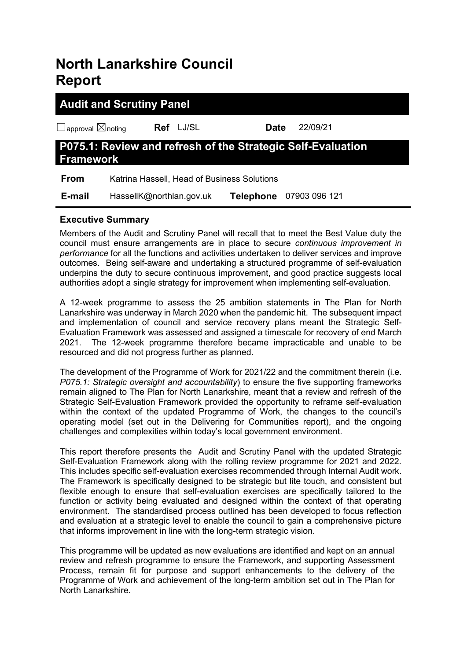# **North Lanarkshire Council Report**

| <b>Audit and Scrutiny Panel</b>    |                                                             |                  |               |  |  |  |
|------------------------------------|-------------------------------------------------------------|------------------|---------------|--|--|--|
| $\Box$ approval $\boxtimes$ noting | Ref LJ/SL                                                   | Date             | 22/09/21      |  |  |  |
| <b>Framework</b>                   | P075.1: Review and refresh of the Strategic Self-Evaluation |                  |               |  |  |  |
| <b>From</b>                        | Katrina Hassell, Head of Business Solutions                 |                  |               |  |  |  |
| E-mail                             | HassellK@northlan.gov.uk                                    | <b>Telephone</b> | 07903 096 121 |  |  |  |

# **Executive Summary**

Members of the Audit and Scrutiny Panel will recall that to meet the Best Value duty the council must ensure arrangements are in place to secure *continuous improvement in performance* for all the functions and activities undertaken to deliver services and improve outcomes. Being self-aware and undertaking a structured programme of self-evaluation underpins the duty to secure continuous improvement, and good practice suggests local authorities adopt a single strategy for improvement when implementing self-evaluation.

A 12-week programme to assess the 25 ambition statements in The Plan for North Lanarkshire was underway in March 2020 when the pandemic hit. The subsequent impact and implementation of council and service recovery plans meant the Strategic Self-Evaluation Framework was assessed and assigned a timescale for recovery of end March 2021. The 12-week programme therefore became impracticable and unable to be resourced and did not progress further as planned.

The development of the Programme of Work for 2021/22 and the commitment therein (i.e. *P075.1: Strategic oversight and accountability*) to ensure the five supporting frameworks remain aligned to The Plan for North Lanarkshire, meant that a review and refresh of the Strategic Self-Evaluation Framework provided the opportunity to reframe self-evaluation within the context of the updated Programme of Work, the changes to the council's operating model (set out in the Delivering for Communities report), and the ongoing challenges and complexities within today's local government environment.

This report therefore presents the Audit and Scrutiny Panel with the updated Strategic Self-Evaluation Framework along with the rolling review programme for 2021 and 2022. This includes specific self-evaluation exercises recommended through Internal Audit work. The Framework is specifically designed to be strategic but lite touch, and consistent but flexible enough to ensure that self-evaluation exercises are specifically tailored to the function or activity being evaluated and designed within the context of that operating environment. The standardised process outlined has been developed to focus reflection and evaluation at a strategic level to enable the council to gain a comprehensive picture that informs improvement in line with the long-term strategic vision.

This programme will be updated as new evaluations are identified and kept on an annual review and refresh programme to ensure the Framework, and supporting Assessment Process, remain fit for purpose and support enhancements to the delivery of the Programme of Work and achievement of the long-term ambition set out in The Plan for North Lanarkshire.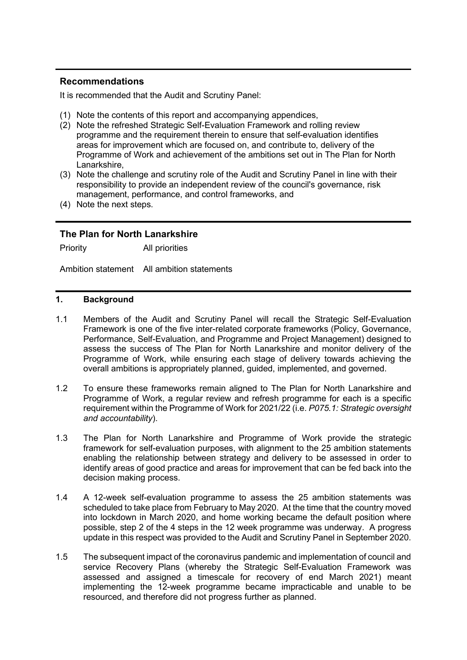# **Recommendations**

It is recommended that the Audit and Scrutiny Panel:

- (1) Note the contents of this report and accompanying appendices,
- (2) Note the refreshed Strategic Self-Evaluation Framework and rolling review programme and the requirement therein to ensure that self-evaluation identifies areas for improvement which are focused on, and contribute to, delivery of the Programme of Work and achievement of the ambitions set out in The Plan for North Lanarkshire,
- (3) Note the challenge and scrutiny role of the Audit and Scrutiny Panel in line with their responsibility to provide an independent review of the council's governance, risk management, performance, and control frameworks, and
- (4) Note the next steps.

# **The Plan for North Lanarkshire**

Priority All priorities

Ambition statement All ambition statements

# **1. Background**

- 1.1 Members of the Audit and Scrutiny Panel will recall the Strategic Self-Evaluation Framework is one of the five inter-related corporate frameworks (Policy, Governance, Performance, Self-Evaluation, and Programme and Project Management) designed to assess the success of The Plan for North Lanarkshire and monitor delivery of the Programme of Work, while ensuring each stage of delivery towards achieving the overall ambitions is appropriately planned, guided, implemented, and governed.
- 1.2 To ensure these frameworks remain aligned to The Plan for North Lanarkshire and Programme of Work, a regular review and refresh programme for each is a specific requirement within the Programme of Work for 2021/22 (i.e. *P075.1: Strategic oversight and accountability*).
- 1.3 The Plan for North Lanarkshire and Programme of Work provide the strategic framework for self-evaluation purposes, with alignment to the 25 ambition statements enabling the relationship between strategy and delivery to be assessed in order to identify areas of good practice and areas for improvement that can be fed back into the decision making process.
- 1.4 A 12-week self-evaluation programme to assess the 25 ambition statements was scheduled to take place from February to May 2020. At the time that the country moved into lockdown in March 2020, and home working became the default position where possible, step 2 of the 4 steps in the 12 week programme was underway. A progress update in this respect was provided to the Audit and Scrutiny Panel in September 2020.
- 1.5 The subsequent impact of the coronavirus pandemic and implementation of council and service Recovery Plans (whereby the Strategic Self-Evaluation Framework was assessed and assigned a timescale for recovery of end March 2021) meant implementing the 12-week programme became impracticable and unable to be resourced, and therefore did not progress further as planned.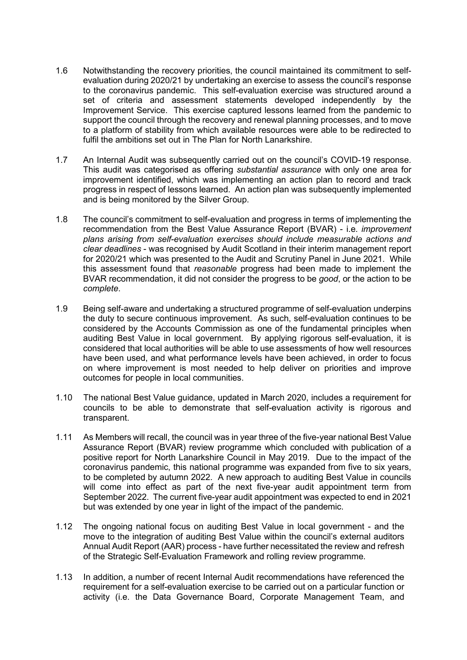- 1.6 Notwithstanding the recovery priorities, the council maintained its commitment to selfevaluation during 2020/21 by undertaking an exercise to assess the council's response to the coronavirus pandemic. This self-evaluation exercise was structured around a set of criteria and assessment statements developed independently by the Improvement Service. This exercise captured lessons learned from the pandemic to support the council through the recovery and renewal planning processes, and to move to a platform of stability from which available resources were able to be redirected to fulfil the ambitions set out in The Plan for North Lanarkshire.
- 1.7 An Internal Audit was subsequently carried out on the council's COVID-19 response. This audit was categorised as offering *substantial assurance* with only one area for improvement identified, which was implementing an action plan to record and track progress in respect of lessons learned. An action plan was subsequently implemented and is being monitored by the Silver Group.
- 1.8 The council's commitment to self-evaluation and progress in terms of implementing the recommendation from the Best Value Assurance Report (BVAR) - i.e. *improvement plans arising from self-evaluation exercises should include measurable actions and clear deadlines* - was recognised by Audit Scotland in their interim management report for 2020/21 which was presented to the Audit and Scrutiny Panel in June 2021. While this assessment found that *reasonable* progress had been made to implement the BVAR recommendation, it did not consider the progress to be *good*, or the action to be *complete*.
- 1.9 Being self-aware and undertaking a structured programme of self-evaluation underpins the duty to secure continuous improvement. As such, self-evaluation continues to be considered by the Accounts Commission as one of the fundamental principles when auditing Best Value in local government. By applying rigorous self-evaluation, it is considered that local authorities will be able to use assessments of how well resources have been used, and what performance levels have been achieved, in order to focus on where improvement is most needed to help deliver on priorities and improve outcomes for people in local communities.
- 1.10 The national Best Value guidance, updated in March 2020, includes a requirement for councils to be able to demonstrate that self-evaluation activity is rigorous and transparent.
- 1.11 As Members will recall, the council was in year three of the five-year national Best Value Assurance Report (BVAR) review programme which concluded with publication of a positive report for North Lanarkshire Council in May 2019. Due to the impact of the coronavirus pandemic, this national programme was expanded from five to six years, to be completed by autumn 2022. A new approach to auditing Best Value in councils will come into effect as part of the next five-year audit appointment term from September 2022. The current five-year audit appointment was expected to end in 2021 but was extended by one year in light of the impact of the pandemic.
- 1.12 The ongoing national focus on auditing Best Value in local government and the move to the integration of auditing Best Value within the council's external auditors Annual Audit Report (AAR) process - have further necessitated the review and refresh of the Strategic Self-Evaluation Framework and rolling review programme.
- 1.13 In addition, a number of recent Internal Audit recommendations have referenced the requirement for a self-evaluation exercise to be carried out on a particular function or activity (i.e. the Data Governance Board, Corporate Management Team, and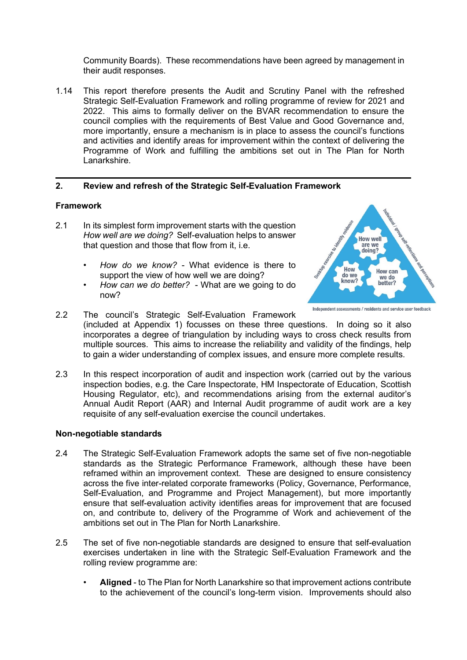Community Boards). These recommendations have been agreed by management in their audit responses.

1.14 This report therefore presents the Audit and Scrutiny Panel with the refreshed Strategic Self-Evaluation Framework and rolling programme of review for 2021 and 2022. This aims to formally deliver on the BVAR recommendation to ensure the council complies with the requirements of Best Value and Good Governance and, more importantly, ensure a mechanism is in place to assess the council's functions and activities and identify areas for improvement within the context of delivering the Programme of Work and fulfilling the ambitions set out in The Plan for North Lanarkshire.

# **2. Review and refresh of the Strategic Self-Evaluation Framework**

#### **Framework**

- 2.1 In its simplest form improvement starts with the question *How well are we doing?* Self-evaluation helps to answer that question and those that flow from it, i.e.
	- *How do we know?* What evidence is there to support the view of how well we are doing?
	- *How can we do better?* What are we going to do now?



Independent assessments / residents and service user feedback

- 2.2 The council's Strategic Self-Evaluation Framework (included at Appendix 1) focusses on these three questions. In doing so it also incorporates a degree of triangulation by including ways to cross check results from multiple sources. This aims to increase the reliability and validity of the findings, help to gain a wider understanding of complex issues, and ensure more complete results.
- 2.3 In this respect incorporation of audit and inspection work (carried out by the various inspection bodies, e.g. the Care Inspectorate, HM Inspectorate of Education, Scottish Housing Regulator, etc), and recommendations arising from the external auditor's Annual Audit Report (AAR) and Internal Audit programme of audit work are a key requisite of any self-evaluation exercise the council undertakes.

#### **Non-negotiable standards**

- 2.4 The Strategic Self-Evaluation Framework adopts the same set of five non-negotiable standards as the Strategic Performance Framework, although these have been reframed within an improvement context. These are designed to ensure consistency across the five inter-related corporate frameworks (Policy, Governance, Performance, Self-Evaluation, and Programme and Project Management), but more importantly ensure that self-evaluation activity identifies areas for improvement that are focused on, and contribute to, delivery of the Programme of Work and achievement of the ambitions set out in The Plan for North Lanarkshire.
- 2.5 The set of five non-negotiable standards are designed to ensure that self-evaluation exercises undertaken in line with the Strategic Self-Evaluation Framework and the rolling review programme are:
	- **Aligned** to The Plan for North Lanarkshire so that improvement actions contribute to the achievement of the council's long-term vision. Improvements should also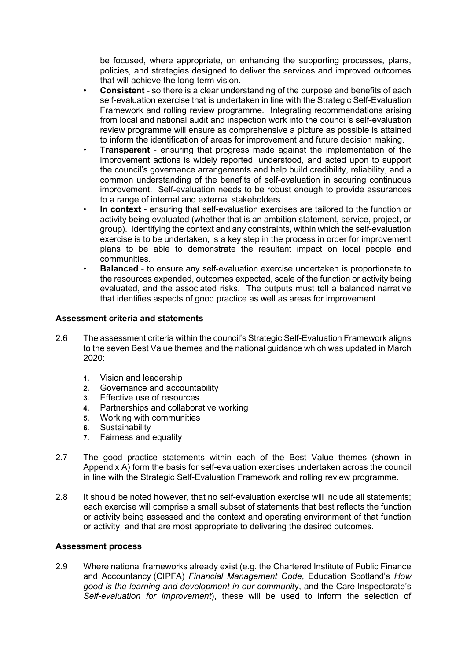be focused, where appropriate, on enhancing the supporting processes, plans, policies, and strategies designed to deliver the services and improved outcomes that will achieve the long-term vision.

- **Consistent** so there is a clear understanding of the purpose and benefits of each self-evaluation exercise that is undertaken in line with the Strategic Self-Evaluation Framework and rolling review programme. Integrating recommendations arising from local and national audit and inspection work into the council's self-evaluation review programme will ensure as comprehensive a picture as possible is attained to inform the identification of areas for improvement and future decision making.
- **Transparent** ensuring that progress made against the implementation of the improvement actions is widely reported, understood, and acted upon to support the council's governance arrangements and help build credibility, reliability, and a common understanding of the benefits of self-evaluation in securing continuous improvement. Self-evaluation needs to be robust enough to provide assurances to a range of internal and external stakeholders.
- **In context** ensuring that self-evaluation exercises are tailored to the function or activity being evaluated (whether that is an ambition statement, service, project, or group). Identifying the context and any constraints, within which the self-evaluation exercise is to be undertaken, is a key step in the process in order for improvement plans to be able to demonstrate the resultant impact on local people and communities.
- **Balanced** to ensure any self-evaluation exercise undertaken is proportionate to the resources expended, outcomes expected, scale of the function or activity being evaluated, and the associated risks. The outputs must tell a balanced narrative that identifies aspects of good practice as well as areas for improvement.

# **Assessment criteria and statements**

- 2.6 The assessment criteria within the council's Strategic Self-Evaluation Framework aligns to the seven Best Value themes and the national guidance which was updated in March 2020:
	- **1.** Vision and leadership
	- **2.** Governance and accountability
	- **3.** Effective use of resources
	- **4.** Partnerships and collaborative working
	- **5.** Working with communities
	- **6.** Sustainability
	- **7.** Fairness and equality
- 2.7 The good practice statements within each of the Best Value themes (shown in Appendix A) form the basis for self-evaluation exercises undertaken across the council in line with the Strategic Self-Evaluation Framework and rolling review programme.
- 2.8 It should be noted however, that no self-evaluation exercise will include all statements; each exercise will comprise a small subset of statements that best reflects the function or activity being assessed and the context and operating environment of that function or activity, and that are most appropriate to delivering the desired outcomes.

# **Assessment process**

2.9 Where national frameworks already exist (e.g. the Chartered Institute of Public Finance and Accountancy (CIPFA) *Financial Management Code*, Education Scotland's *How good is the learning and development in our communit*y, and the Care Inspectorate's *Self-evaluation for improvement*), these will be used to inform the selection of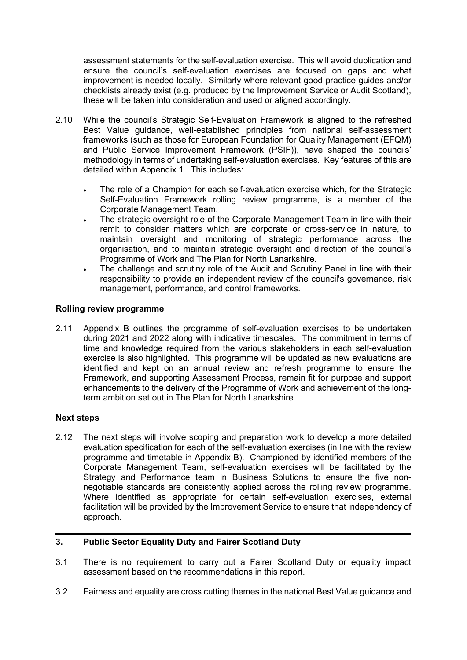assessment statements for the self-evaluation exercise. This will avoid duplication and ensure the council's self-evaluation exercises are focused on gaps and what improvement is needed locally. Similarly where relevant good practice guides and/or checklists already exist (e.g. produced by the Improvement Service or Audit Scotland), these will be taken into consideration and used or aligned accordingly.

- 2.10 While the council's Strategic Self-Evaluation Framework is aligned to the refreshed Best Value guidance, well-established principles from national self-assessment frameworks (such as those for European Foundation for Quality Management (EFQM) and Public Service Improvement Framework (PSIF)), have shaped the councils' methodology in terms of undertaking self-evaluation exercises. Key features of this are detailed within Appendix 1. This includes:
	- The role of a Champion for each self-evaluation exercise which, for the Strategic Self-Evaluation Framework rolling review programme, is a member of the Corporate Management Team.
	- The strategic oversight role of the Corporate Management Team in line with their remit to consider matters which are corporate or cross-service in nature, to maintain oversight and monitoring of strategic performance across the organisation, and to maintain strategic oversight and direction of the council's Programme of Work and The Plan for North Lanarkshire.
	- The challenge and scrutiny role of the Audit and Scrutiny Panel in line with their responsibility to provide an independent review of the council's governance, risk management, performance, and control frameworks.

# **Rolling review programme**

2.11 Appendix B outlines the programme of self-evaluation exercises to be undertaken during 2021 and 2022 along with indicative timescales. The commitment in terms of time and knowledge required from the various stakeholders in each self-evaluation exercise is also highlighted. This programme will be updated as new evaluations are identified and kept on an annual review and refresh programme to ensure the Framework, and supporting Assessment Process, remain fit for purpose and support enhancements to the delivery of the Programme of Work and achievement of the longterm ambition set out in The Plan for North Lanarkshire.

# **Next steps**

2.12 The next steps will involve scoping and preparation work to develop a more detailed evaluation specification for each of the self-evaluation exercises (in line with the review programme and timetable in Appendix B). Championed by identified members of the Corporate Management Team, self-evaluation exercises will be facilitated by the Strategy and Performance team in Business Solutions to ensure the five nonnegotiable standards are consistently applied across the rolling review programme. Where identified as appropriate for certain self-evaluation exercises, external facilitation will be provided by the Improvement Service to ensure that independency of approach.

# **3. Public Sector Equality Duty and Fairer Scotland Duty**

- 3.1 There is no requirement to carry out a Fairer Scotland Duty or equality impact assessment based on the recommendations in this report.
- 3.2 Fairness and equality are cross cutting themes in the national Best Value guidance and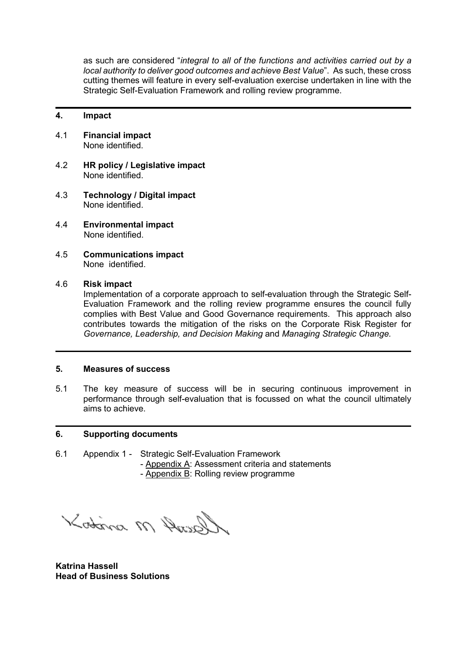as such are considered "*integral to all of the functions and activities carried out by a local authority to deliver good outcomes and achieve Best Value*". As such, these cross cutting themes will feature in every self-evaluation exercise undertaken in line with the Strategic Self-Evaluation Framework and rolling review programme.

# **4. Impact**

- 4.1 **Financial impact** None identified.
- 4.2 **HR policy / Legislative impact** None identified.
- 4.3 **Technology / Digital impact** None identified.
- 4.4 **Environmental impact** None identified.
- 4.5 **Communications impact** None identified.

# 4.6 **Risk impact**

Implementation of a corporate approach to self-evaluation through the Strategic Self-Evaluation Framework and the rolling review programme ensures the council fully complies with Best Value and Good Governance requirements. This approach also contributes towards the mitigation of the risks on the Corporate Risk Register for *Governance, Leadership, and Decision Making* and *Managing Strategic Change.*

# **5. Measures of success**

5.1 The key measure of success will be in securing continuous improvement in performance through self-evaluation that is focussed on what the council ultimately aims to achieve.

# **6. Supporting documents**

- 6.1 Appendix 1 Strategic Self-Evaluation Framework
	- Appendix A: Assessment criteria and statements
		- Appendix B: Rolling review programme

Garry M Aritor

**Katrina Hassell Head of Business Solutions**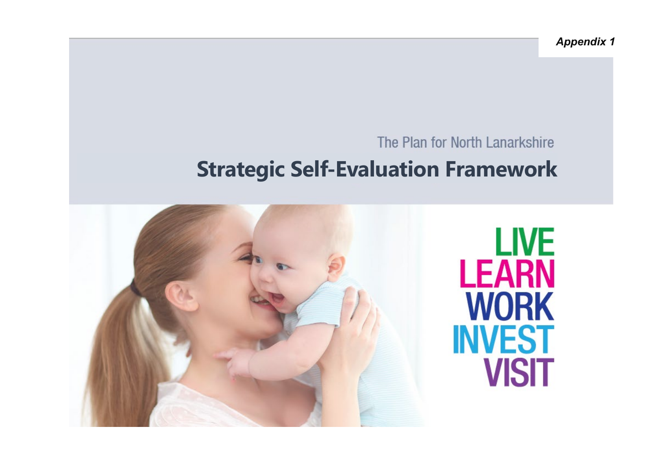# The Plan for North Lanarkshire

# **Strategic Self-Evaluation Framework**

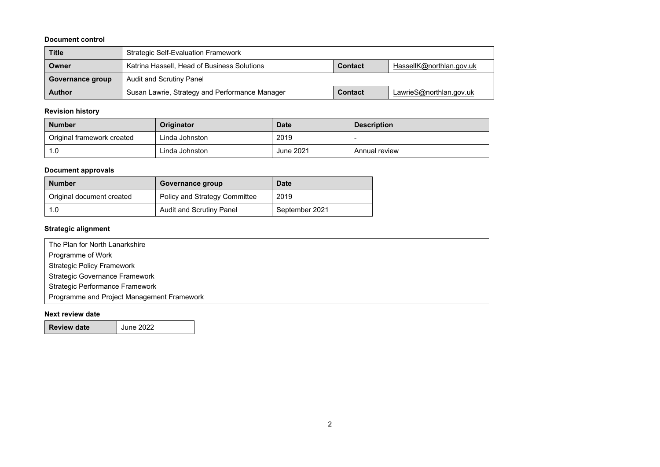#### **Document control**

| <b>Title</b>                                                           | <b>Strategic Self-Evaluation Framework</b>     |                |                          |  |  |  |
|------------------------------------------------------------------------|------------------------------------------------|----------------|--------------------------|--|--|--|
| Katrina Hassell, Head of Business Solutions<br><b>Contact</b><br>Owner |                                                |                | HassellK@northlan.gov.uk |  |  |  |
| Audit and Scrutiny Panel<br>Governance group                           |                                                |                |                          |  |  |  |
| <b>Author</b>                                                          | Susan Lawrie, Strategy and Performance Manager | <b>Contact</b> | LawrieS@northlan.gov.uk  |  |  |  |

# **Revision history**

| <b>Number</b>              | Originator     | <b>Date</b>      | <b>Description</b> |
|----------------------------|----------------|------------------|--------------------|
| Original framework created | Linda Johnston | 2019             |                    |
| 0. ا                       | Linda Johnston | <b>June 2021</b> | Annual review      |

# **Document approvals**

| <b>Number</b>             | Governance group                     | Date           |
|---------------------------|--------------------------------------|----------------|
| Original document created | <b>Policy and Strategy Committee</b> | 2019           |
| 1.0                       | Audit and Scrutiny Panel             | September 2021 |

#### **Strategic alignment**

| The Plan for North Lanarkshire             |  |
|--------------------------------------------|--|
| Programme of Work                          |  |
| <b>Strategic Policy Framework</b>          |  |
| <b>Strategic Governance Framework</b>      |  |
| Strategic Performance Framework            |  |
| Programme and Project Management Framework |  |

#### **Next review date**

**Review date** June 2022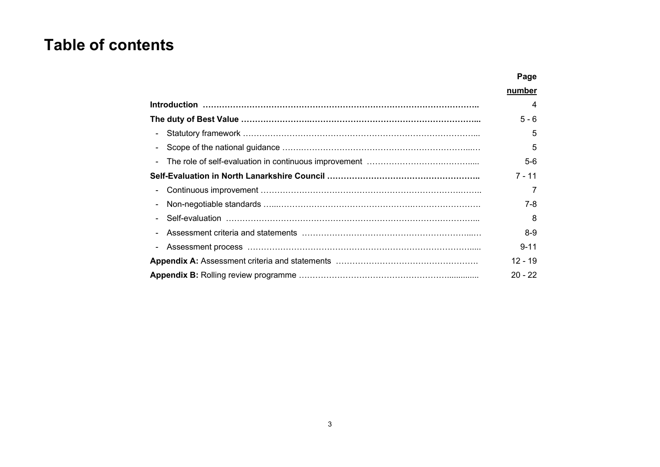# **Table of contents**

|        | number    |
|--------|-----------|
|        | 4         |
|        | $5 - 6$   |
|        | 5         |
|        | 5         |
| $\sim$ | $5-6$     |
|        | 7 - 11    |
| $\sim$ |           |
|        | 7-8       |
|        | 8         |
|        | $8-9$     |
|        | $9 - 11$  |
|        | $12 - 19$ |
|        | $20 - 22$ |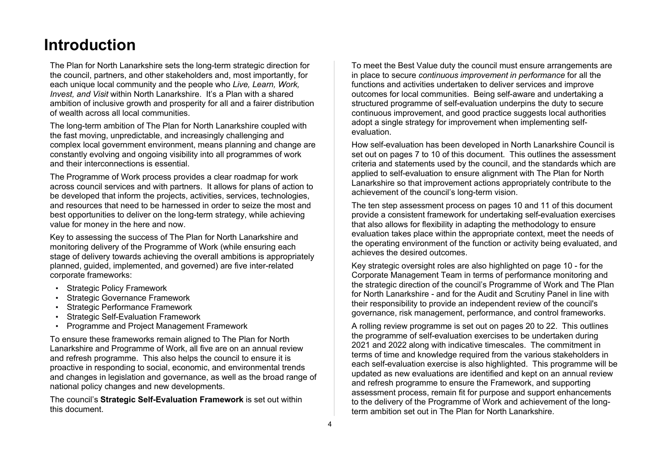# **Introduction**

The Plan for North Lanarkshire sets the long-term strategic direction for the council, partners, and other stakeholders and, most importantly, for each unique local community and the people who *Live, Learn, Work, Invest, and Visit* within North Lanarkshire. It's a Plan with a shared ambition of inclusive growth and prosperity for all and a fairer distribution of wealth across all local communities.

The long-term ambition of The Plan for North Lanarkshire coupled with the fast moving, unpredictable, and increasingly challenging and complex local government environment, means planning and change are constantly evolving and ongoing visibility into all programmes of work and their interconnections is essential.

The Programme of Work process provides a clear roadmap for work across council services and with partners. It allows for plans of action to be developed that inform the projects, activities, services, technologies, and resources that need to be harnessed in order to seize the most and best opportunities to deliver on the long-term strategy, while achieving value for money in the here and now.

Key to assessing the success of The Plan for North Lanarkshire and monitoring delivery of the Programme of Work (while ensuring each stage of delivery towards achieving the overall ambitions is appropriately planned, guided, implemented, and governed) are five inter-related corporate frameworks:

- Strategic Policy Framework
- **Strategic Governance Framework**
- Strategic Performance Framework
- Strategic Self-Evaluation Framework
- Programme and Project Management Framework

To ensure these frameworks remain aligned to The Plan for North Lanarkshire and Programme of Work, all five are on an annual review and refresh programme. This also helps the council to ensure it is proactive in responding to social, economic, and environmental trends and changes in legislation and governance, as well as the broad range of national policy changes and new developments.

The council's **Strategic Self-Evaluation Framework** is set out within this document.

To meet the Best Value duty the council must ensure arrangements are in place to secure *continuous improvement in performance* for all the functions and activities undertaken to deliver services and improve outcomes for local communities. Being self-aware and undertaking a structured programme of self-evaluation underpins the duty to secure continuous improvement, and good practice suggests local authorities adopt a single strategy for improvement when implementing selfevaluation.

How self-evaluation has been developed in North Lanarkshire Council is set out on pages 7 to 10 of this document. This outlines the assessment criteria and statements used by the council, and the standards which are applied to self-evaluation to ensure alignment with The Plan for North Lanarkshire so that improvement actions appropriately contribute to the achievement of the council's long-term vision.

The ten step assessment process on pages 10 and 11 of this document provide a consistent framework for undertaking self-evaluation exercises that also allows for flexibility in adapting the methodology to ensure evaluation takes place within the appropriate context, meet the needs of the operating environment of the function or activity being evaluated, and achieves the desired outcomes.

Key strategic oversight roles are also highlighted on page 10 - for the Corporate Management Team in terms of performance monitoring and the strategic direction of the council's Programme of Work and The Plan for North Lanarkshire - and for the Audit and Scrutiny Panel in line with their responsibility to provide an independent review of the council's governance, risk management, performance, and control frameworks.

A rolling review programme is set out on pages 20 to 22. This outlines the programme of self-evaluation exercises to be undertaken during 2021 and 2022 along with indicative timescales. The commitment in terms of time and knowledge required from the various stakeholders in each self-evaluation exercise is also highlighted. This programme will be updated as new evaluations are identified and kept on an annual review and refresh programme to ensure the Framework, and supporting assessment process, remain fit for purpose and support enhancements to the delivery of the Programme of Work and achievement of the longterm ambition set out in The Plan for North Lanarkshire.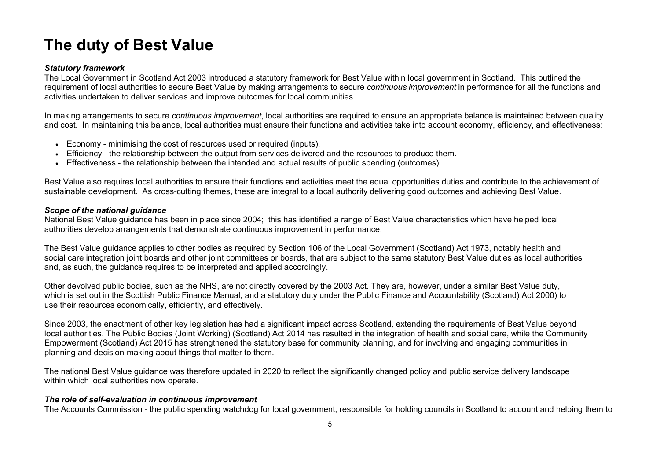# **The duty of Best Value**

### *Statutory framework*

The Local Government in Scotland Act 2003 introduced a statutory framework for Best Value within local government in Scotland. This outlined the requirement of local authorities to secure Best Value by making arrangements to secure *continuous improvement* in performance for all the functions and activities undertaken to deliver services and improve outcomes for local communities.

In making arrangements to secure *continuous improvement*, local authorities are required to ensure an appropriate balance is maintained between quality and cost. In maintaining this balance, local authorities must ensure their functions and activities take into account economy, efficiency, and effectiveness:

- Economy minimising the cost of resources used or required (inputs).
- Efficiency the relationship between the output from services delivered and the resources to produce them.
- Effectiveness the relationship between the intended and actual results of public spending (outcomes).

Best Value also requires local authorities to ensure their functions and activities meet the equal opportunities duties and contribute to the achievement of sustainable development. As cross-cutting themes, these are integral to a local authority delivering good outcomes and achieving Best Value.

### *Scope of the national guidance*

National Best Value guidance has been in place since 2004; this has identified a range of Best Value characteristics which have helped local authorities develop arrangements that demonstrate continuous improvement in performance.

The Best Value guidance applies to other bodies as required by Section 106 of the Local Government (Scotland) Act 1973, notably health and social care integration joint boards and other joint committees or boards, that are subject to the same statutory Best Value duties as local authorities and, as such, the guidance requires to be interpreted and applied accordingly.

Other devolved public bodies, such as the NHS, are not directly covered by the 2003 Act. They are, however, under a similar Best Value duty, which is set out in the Scottish Public Finance Manual, and a statutory duty under the [Public Finance](http://www.legislation.gov.uk/asp/2000/1/section/15) and Accountability (Scotland) Act 2000) to use their resources economically, efficiently, and effectively.

Since 2003, the enactment of other key legislation has had a significant impact across Scotland, extending the requirements of Best Value beyond local authorities. The Public Bodies (Joint Working) (Scotland) Act 2014 has resulted in the integration of health and social care, while the Community Empowerment (Scotland) Act 2015 has strengthened the statutory base for community planning, and for involving and engaging communities in planning and decision-making about things that matter to them.

The national Best Value guidance was therefore updated in 2020 to reflect the significantly changed policy and public service delivery landscape within which local authorities now operate.

# *The role of self-evaluation in continuous improvement*

The Accounts Commission - the public spending watchdog for local government, responsible for holding councils in Scotland to account and helping them to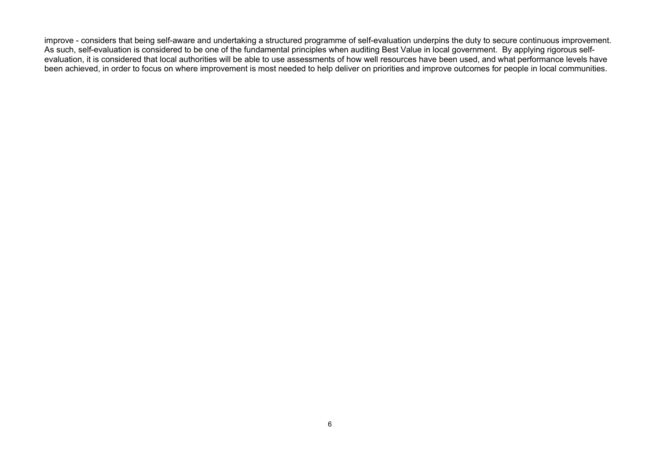improve - considers that being self-aware and undertaking a structured programme of self-evaluation underpins the duty to secure continuous improvement. As such, self-evaluation is considered to be one of the fundamental principles when auditing Best Value in local government. By applying rigorous selfevaluation, it is considered that local authorities will be able to use assessments of how well resources have been used, and what performance levels have been achieved, in order to focus on where improvement is most needed to help deliver on priorities and improve outcomes for people in local communities.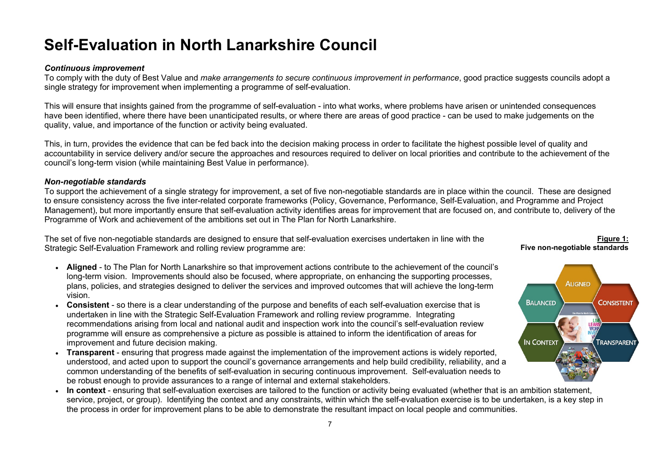# **Self-Evaluation in North Lanarkshire Council**

#### *Continuous improvement*

To comply with the duty of Best Value and *make arrangements to secure continuous improvement in performance*, good practice suggests councils adopt a single strategy for improvement when implementing a programme of self-evaluation.

This will ensure that insights gained from the programme of self-evaluation - into what works, where problems have arisen or unintended consequences have been identified, where there have been unanticipated results, or where there are areas of good practice - can be used to make judgements on the quality, value, and importance of the function or activity being evaluated.

This, in turn, provides the evidence that can be fed back into the decision making process in order to facilitate the highest possible level of quality and accountability in service delivery and/or secure the approaches and resources required to deliver on local priorities and contribute to the achievement of the council's long-term vision (while maintaining Best Value in performance).

### *Non-negotiable standards*

To support the achievement of a single strategy for improvement, a set of five non-negotiable standards are in place within the council. These are designed to ensure consistency across the five inter-related corporate frameworks (Policy, Governance, Performance, Self-Evaluation, and Programme and Project Management), but more importantly ensure that self-evaluation activity identifies areas for improvement that are focused on, and contribute to, delivery of the Programme of Work and achievement of the ambitions set out in The Plan for North Lanarkshire.

The set of five non-negotiable standards are designed to ensure that self-evaluation exercises undertaken in line with the Strategic Self-Evaluation Framework and rolling review programme are:

- **Aligned** to The Plan for North Lanarkshire so that improvement actions contribute to the achievement of the council's long-term vision. Improvements should also be focused, where appropriate, on enhancing the supporting processes, plans, policies, and strategies designed to deliver the services and improved outcomes that will achieve the long-term vision.
- **Consistent** so there is a clear understanding of the purpose and benefits of each self-evaluation exercise that is undertaken in line with the Strategic Self-Evaluation Framework and rolling review programme. Integrating recommendations arising from local and national audit and inspection work into the council's self-evaluation review programme will ensure as comprehensive a picture as possible is attained to inform the identification of areas for improvement and future decision making.
- **Transparent** ensuring that progress made against the implementation of the improvement actions is widely reported, understood, and acted upon to support the council's governance arrangements and help build credibility, reliability, and a common understanding of the benefits of self-evaluation in securing continuous improvement. Self-evaluation needs to be robust enough to provide assurances to a range of internal and external stakeholders.
- **In context** ensuring that self-evaluation exercises are tailored to the function or activity being evaluated (whether that is an ambition statement, service, project, or group). Identifying the context and any constraints, within which the self-evaluation exercise is to be undertaken, is a key step in the process in order for improvement plans to be able to demonstrate the resultant impact on local people and communities.

#### **Figure 1: Five non-negotiable standards**

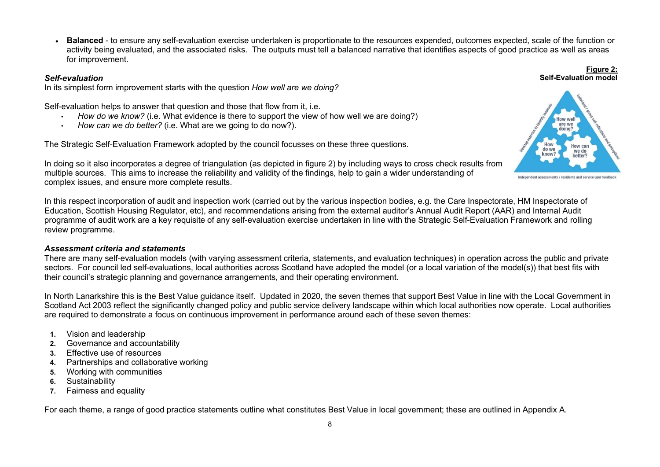• **Balanced** - to ensure any self-evaluation exercise undertaken is proportionate to the resources expended, outcomes expected, scale of the function or activity being evaluated, and the associated risks. The outputs must tell a balanced narrative that identifies aspects of good practice as well as areas for improvement.

#### *Self-evaluation*

In its simplest form improvement starts with the question *How well are we doing?*

Self-evaluation helps to answer that question and those that flow from it, i.e.

- *How do we know?* (i.e. What evidence is there to support the view of how well we are doing?)
- *How can we do better?* (i.e. What are we going to do now?).

The Strategic Self-Evaluation Framework adopted by the council focusses on these three questions.



**Figure 2:**

In doing so it also incorporates a degree of triangulation (as depicted in figure 2) by including ways to cross check results from multiple sources. This aims to increase the reliability and validity of the findings, help to gain a wider understanding of complex issues, and ensure more complete results.

In this respect incorporation of audit and inspection work (carried out by the various inspection bodies, e.g. the Care Inspectorate, HM Inspectorate of Education, Scottish Housing Regulator, etc), and recommendations arising from the external auditor's Annual Audit Report (AAR) and Internal Audit programme of audit work are a key requisite of any self-evaluation exercise undertaken in line with the Strategic Self-Evaluation Framework and rolling review programme.

#### *Assessment criteria and statements*

There are many self-evaluation models (with varying assessment criteria, statements, and evaluation techniques) in operation across the public and private sectors. For council led self-evaluations, local authorities across Scotland have adopted the model (or a local variation of the model(s)) that best fits with their council's strategic planning and governance arrangements, and their operating environment.

In North Lanarkshire this is the Best Value guidance itself. Updated in 2020, the seven themes that support Best Value in line with the Local Government in Scotland Act 2003 reflect the significantly changed policy and public service delivery landscape within which local authorities now operate. Local authorities are required to demonstrate a focus on continuous improvement in performance around each of these seven themes:

- **1.** Vision and leadership
- **2.** Governance and accountability
- **3.** Effective use of resources
- **4.** Partnerships and collaborative working
- **5.** Working with communities
- **6.** Sustainability
- **7.** Fairness and equality

For each theme, a range of good practice statements outline what constitutes Best Value in local government; these are outlined in Appendix A.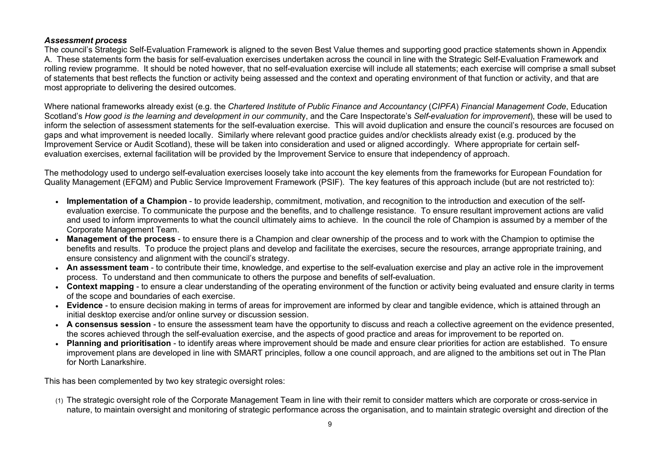#### *Assessment process*

The council's Strategic Self-Evaluation Framework is aligned to the seven Best Value themes and supporting good practice statements shown in Appendix A. These statements form the basis for self-evaluation exercises undertaken across the council in line with the Strategic Self-Evaluation Framework and rolling review programme. It should be noted however, that no self-evaluation exercise will include all statements; each exercise will comprise a small subset of statements that best reflects the function or activity being assessed and the context and operating environment of that function or activity, and that are most appropriate to delivering the desired outcomes.

Where national frameworks already exist (e.g. the *Chartered Institute of Public Finance and Accountancy* (*CIPFA*) *Financial Management Code*, Education Scotland's *How good is the learning and development in our communit*y, and the Care Inspectorate's *Self-evaluation for improvement*), these will be used to inform the selection of assessment statements for the self-evaluation exercise. This will avoid duplication and ensure the council's resources are focused on gaps and what improvement is needed locally. Similarly where relevant good practice guides and/or checklists already exist (e.g. produced by the Improvement Service or Audit Scotland), these will be taken into consideration and used or aligned accordingly. Where appropriate for certain selfevaluation exercises, external facilitation will be provided by the Improvement Service to ensure that independency of approach.

The methodology used to undergo self-evaluation exercises loosely take into account the key elements from the frameworks for European Foundation for Quality Management (EFQM) and Public Service Improvement Framework (PSIF). The key features of this approach include (but are not restricted to):

- **Implementation of a Champion** to provide leadership, commitment, motivation, and recognition to the introduction and execution of the selfevaluation exercise. To communicate the purpose and the benefits, and to challenge resistance. To ensure resultant improvement actions are valid and used to inform improvements to what the council ultimately aims to achieve. In the council the role of Champion is assumed by a member of the Corporate Management Team.
- **Management of the process** to ensure there is a Champion and clear ownership of the process and to work with the Champion to optimise the benefits and results. To produce the project plans and develop and facilitate the exercises, secure the resources, arrange appropriate training, and ensure consistency and alignment with the council's strategy.
- **An assessment team** to contribute their time, knowledge, and expertise to the self-evaluation exercise and play an active role in the improvement process. To understand and then communicate to others the purpose and benefits of self-evaluation.
- **Context mapping** to ensure a clear understanding of the operating environment of the function or activity being evaluated and ensure clarity in terms of the scope and boundaries of each exercise.
- **Evidence**  to ensure decision making in terms of areas for improvement are informed by clear and tangible evidence, which is attained through an initial desktop exercise and/or online survey or discussion session.
- **A consensus session** to ensure the assessment team have the opportunity to discuss and reach a collective agreement on the evidence presented, the scores achieved through the self-evaluation exercise, and the aspects of good practice and areas for improvement to be reported on.
- **Planning and prioritisation** to identify areas where improvement should be made and ensure clear priorities for action are established. To ensure improvement plans are developed in line with SMART principles, follow a one council approach, and are aligned to the ambitions set out in The Plan for North Lanarkshire.

This has been complemented by two key strategic oversight roles:

(1) The strategic oversight role of the Corporate Management Team in line with their remit to consider matters which are corporate or cross-service in nature, to maintain oversight and monitoring of strategic performance across the organisation, and to maintain strategic oversight and direction of the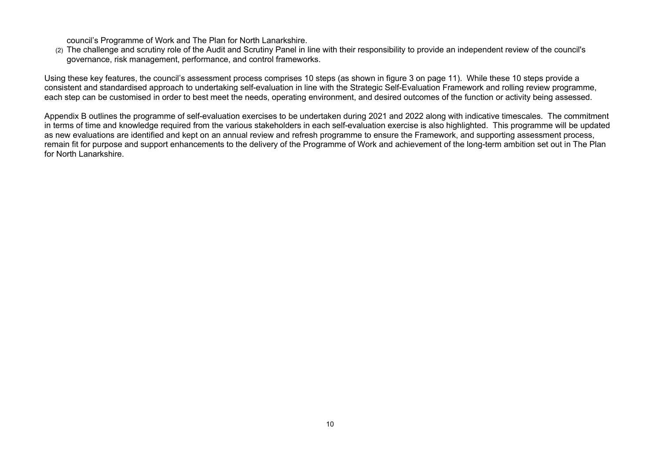council's Programme of Work and The Plan for North Lanarkshire.

(2) The challenge and scrutiny role of the Audit and Scrutiny Panel in line with their responsibility to provide an independent review of the council's governance, risk management, performance, and control frameworks.

Using these key features, the council's assessment process comprises 10 steps (as shown in figure 3 on page 11). While these 10 steps provide a consistent and standardised approach to undertaking self-evaluation in line with the Strategic Self-Evaluation Framework and rolling review programme, each step can be customised in order to best meet the needs, operating environment, and desired outcomes of the function or activity being assessed.

Appendix B outlines the programme of self-evaluation exercises to be undertaken during 2021 and 2022 along with indicative timescales. The commitment in terms of time and knowledge required from the various stakeholders in each self-evaluation exercise is also highlighted. This programme will be updated as new evaluations are identified and kept on an annual review and refresh programme to ensure the Framework, and supporting assessment process, remain fit for purpose and support enhancements to the delivery of the Programme of Work and achievement of the long-term ambition set out in The Plan for North Lanarkshire.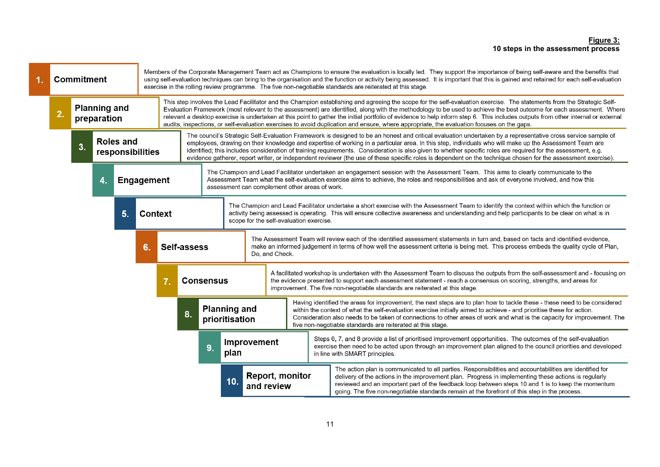#### **Figure 3: 10 steps in the assessment process**

|  | Commitment                                                        |  |             |                |                                                                                                                                                                                                                                                                                                                                        | Members of the Corporate Management Team act as Champions to ensure the evaluation is locally led. They support the importance of being self-aware and the benefits that<br>using self-evaluation techniques can bring to the organisation and the function or activity being assessed. It is important that this is gained and retained for each self-evaluation<br>exercise in the rolling review programme. The five non-negotiable standards are reiterated at this stage.                                                                                                                                                                                                 |  |  |                                                                                                                                                                                                                                                                                                                                                                                                                         |  |                                                                                                                                                                                                                                                                                                                                                                                                                                               |                                                                                                                                                                                                                                                                                                                                         |
|--|-------------------------------------------------------------------|--|-------------|----------------|----------------------------------------------------------------------------------------------------------------------------------------------------------------------------------------------------------------------------------------------------------------------------------------------------------------------------------------|--------------------------------------------------------------------------------------------------------------------------------------------------------------------------------------------------------------------------------------------------------------------------------------------------------------------------------------------------------------------------------------------------------------------------------------------------------------------------------------------------------------------------------------------------------------------------------------------------------------------------------------------------------------------------------|--|--|-------------------------------------------------------------------------------------------------------------------------------------------------------------------------------------------------------------------------------------------------------------------------------------------------------------------------------------------------------------------------------------------------------------------------|--|-----------------------------------------------------------------------------------------------------------------------------------------------------------------------------------------------------------------------------------------------------------------------------------------------------------------------------------------------------------------------------------------------------------------------------------------------|-----------------------------------------------------------------------------------------------------------------------------------------------------------------------------------------------------------------------------------------------------------------------------------------------------------------------------------------|
|  | <b>Planning and</b><br>$\overline{2}$<br>preparation              |  |             |                |                                                                                                                                                                                                                                                                                                                                        | This step involves the Lead Facilitator and the Champion establishing and agreeing the scope for the self-evaluation exercise. The statements from the Strategic Self-<br>Evaluation Framework (most relevant to the assessment) are identified, along with the methodology to be used to achieve the best outcome for each assessment. Where<br>relevant a desktop exercise is undertaken at this point to gather the initial portfolio of evidence to help inform step 6. This includes outputs from other internal or external<br>audits, inspections, or self-evaluation exercises to avoid duplication and ensure, where appropriate, the evaluation focuses on the gaps. |  |  |                                                                                                                                                                                                                                                                                                                                                                                                                         |  |                                                                                                                                                                                                                                                                                                                                                                                                                                               |                                                                                                                                                                                                                                                                                                                                         |
|  | <b>Roles and</b><br>$\overline{\mathbf{3}}$ .<br>responsibilities |  |             |                |                                                                                                                                                                                                                                                                                                                                        | The council's Strategic Self-Evaluation Framework is designed to be an honest and critical evaluation undertaken by a representative cross service sample of<br>employees, drawing on their knowledge and expertise of working in a particular area. In this step, individuals who will make up the Assessment Team are<br>identified; this includes consideration of training requirements. Consideration is also given to whether specific roles are required for the assessment, e.g.<br>evidence gatherer, report writer, or independent reviewer (the use of these specific roles is dependent on the technique chosen for the assessment exercise).                      |  |  |                                                                                                                                                                                                                                                                                                                                                                                                                         |  |                                                                                                                                                                                                                                                                                                                                                                                                                                               |                                                                                                                                                                                                                                                                                                                                         |
|  | <b>Engagement</b><br>4.                                           |  |             |                |                                                                                                                                                                                                                                                                                                                                        | assessment can complement other areas of work.                                                                                                                                                                                                                                                                                                                                                                                                                                                                                                                                                                                                                                 |  |  |                                                                                                                                                                                                                                                                                                                                                                                                                         |  | The Champion and Lead Facilitator undertaken an engagement session with the Assessment Team. This aims to clearly communicate to the<br>Assessment Team what the self-evaluation exercise aims to achieve, the roles and responsibilities and ask of everyone involved, and how this                                                                                                                                                          |                                                                                                                                                                                                                                                                                                                                         |
|  | 5.<br><b>Context</b><br>6.                                        |  |             |                | The Champion and Lead Facilitator undertake a short exercise with the Assessment Team to identify the context within which the function or<br>activity being assessed is operating. This will ensure collective awareness and understanding and help participants to be clear on what is in<br>scope for the self-evaluation exercise. |                                                                                                                                                                                                                                                                                                                                                                                                                                                                                                                                                                                                                                                                                |  |  |                                                                                                                                                                                                                                                                                                                                                                                                                         |  |                                                                                                                                                                                                                                                                                                                                                                                                                                               |                                                                                                                                                                                                                                                                                                                                         |
|  |                                                                   |  | Self-assess | Do, and Check. |                                                                                                                                                                                                                                                                                                                                        |                                                                                                                                                                                                                                                                                                                                                                                                                                                                                                                                                                                                                                                                                |  |  | The Assessment Team will review each of the identified assessment statements in turn and, based on facts and identified evidence,<br>make an informed judgement in terms of how well the assessment criteria is being met. This process embeds the quality cycle of Plan,                                                                                                                                               |  |                                                                                                                                                                                                                                                                                                                                                                                                                                               |                                                                                                                                                                                                                                                                                                                                         |
|  | <b>Consensus</b><br>8 <sub>1</sub><br>9.                          |  |             |                |                                                                                                                                                                                                                                                                                                                                        |                                                                                                                                                                                                                                                                                                                                                                                                                                                                                                                                                                                                                                                                                |  |  |                                                                                                                                                                                                                                                                                                                                                                                                                         |  |                                                                                                                                                                                                                                                                                                                                                                                                                                               | A facilitated workshop is undertaken with the Assessment Team to discuss the outputs from the self-assessment and - focusing on<br>the evidence presented to support each assessment statement - reach a consensus on scoring, strengths, and areas for<br>improvement. The five non-negotiable standards are reiterated at this stage. |
|  |                                                                   |  |             |                |                                                                                                                                                                                                                                                                                                                                        | <b>Planning and</b><br>prioritisation                                                                                                                                                                                                                                                                                                                                                                                                                                                                                                                                                                                                                                          |  |  |                                                                                                                                                                                                                                                                                                                                                                                                                         |  | Having identified the areas for improvement, the next steps are to plan how to tackle these - these need to be considered<br>within the context of what the self-evaluation exercise initially aimed to achieve - and prioritise these for action.<br>Consideration also needs to be taken of connections to other areas of work and what is the capacity for improvement. The<br>five non-negotiable standards are reiterated at this stage. |                                                                                                                                                                                                                                                                                                                                         |
|  |                                                                   |  |             | plan           | Improvement                                                                                                                                                                                                                                                                                                                            |                                                                                                                                                                                                                                                                                                                                                                                                                                                                                                                                                                                                                                                                                |  |  | Steps 6, 7, and 8 provide a list of prioritised improvement opportunities. The outcomes of the self-evaluation<br>exercise then need to be acted upon through an improvement plan aligned to the council priorities and developed<br>in line with SMART principles.                                                                                                                                                     |  |                                                                                                                                                                                                                                                                                                                                                                                                                                               |                                                                                                                                                                                                                                                                                                                                         |
|  |                                                                   |  |             |                | 10.                                                                                                                                                                                                                                                                                                                                    | <b>Report, monitor</b><br>and review                                                                                                                                                                                                                                                                                                                                                                                                                                                                                                                                                                                                                                           |  |  | The action plan is communicated to all parties. Responsibilities and accountabilities are identified for<br>delivery of the actions in the improvement plan. Progress in implementing these actions is regularly<br>reviewed and an important part of the feedback loop between steps 10 and 1 is to keep the momentum<br>going. The five non-negotiable standards remain at the forefront of this step in the process. |  |                                                                                                                                                                                                                                                                                                                                                                                                                                               |                                                                                                                                                                                                                                                                                                                                         |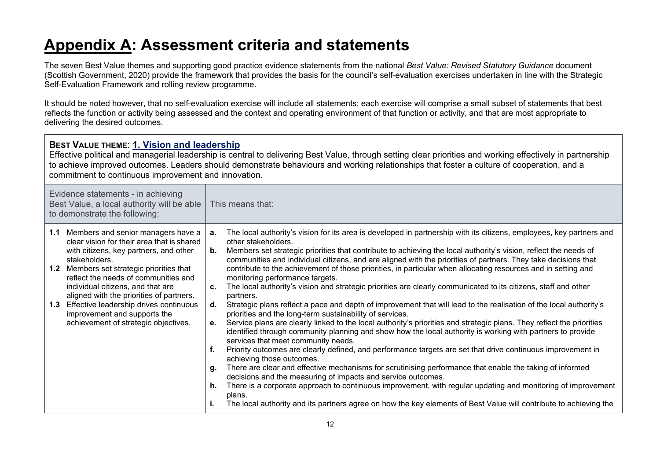# **Appendix A: Assessment criteria and statements**

The seven Best Value themes and supporting good practice evidence statements from the national *Best Value: Revised Statutory Guidance* document (Scottish Government, 2020) provide the framework that provides the basis for the council's self-evaluation exercises undertaken in line with the Strategic Self-Evaluation Framework and rolling review programme.

It should be noted however, that no self-evaluation exercise will include all statements; each exercise will comprise a small subset of statements that best reflects the function or activity being assessed and the context and operating environment of that function or activity, and that are most appropriate to delivering the desired outcomes.

| BEST VALUE THEME: 1. Vision and leadership<br>Effective political and managerial leadership is central to delivering Best Value, through setting clear priorities and working effectively in partnership<br>to achieve improved outcomes. Leaders should demonstrate behaviours and working relationships that foster a culture of cooperation, and a<br>commitment to continuous improvement and innovation.                                      |                                                                                                                                                                                                                                                                                                                                                                                                                                                                                                                                                                                                                                                                                                                                                                                                                                                                                                                                                                                                                                                                                                                                                                                                                                                                                                                                                                                                                                                                                                                                                                                                                                                                                                                                                              |  |  |  |  |  |
|----------------------------------------------------------------------------------------------------------------------------------------------------------------------------------------------------------------------------------------------------------------------------------------------------------------------------------------------------------------------------------------------------------------------------------------------------|--------------------------------------------------------------------------------------------------------------------------------------------------------------------------------------------------------------------------------------------------------------------------------------------------------------------------------------------------------------------------------------------------------------------------------------------------------------------------------------------------------------------------------------------------------------------------------------------------------------------------------------------------------------------------------------------------------------------------------------------------------------------------------------------------------------------------------------------------------------------------------------------------------------------------------------------------------------------------------------------------------------------------------------------------------------------------------------------------------------------------------------------------------------------------------------------------------------------------------------------------------------------------------------------------------------------------------------------------------------------------------------------------------------------------------------------------------------------------------------------------------------------------------------------------------------------------------------------------------------------------------------------------------------------------------------------------------------------------------------------------------------|--|--|--|--|--|
| Evidence statements - in achieving<br>Best Value, a local authority will be able<br>to demonstrate the following:                                                                                                                                                                                                                                                                                                                                  | This means that:                                                                                                                                                                                                                                                                                                                                                                                                                                                                                                                                                                                                                                                                                                                                                                                                                                                                                                                                                                                                                                                                                                                                                                                                                                                                                                                                                                                                                                                                                                                                                                                                                                                                                                                                             |  |  |  |  |  |
| 1.1 Members and senior managers have a<br>clear vision for their area that is shared<br>with citizens, key partners, and other<br>stakeholders.<br><b>1.2</b> Members set strategic priorities that<br>reflect the needs of communities and<br>individual citizens, and that are<br>aligned with the priorities of partners.<br>1.3 Effective leadership drives continuous<br>improvement and supports the<br>achievement of strategic objectives. | The local authority's vision for its area is developed in partnership with its citizens, employees, key partners and<br>a.<br>other stakeholders.<br>Members set strategic priorities that contribute to achieving the local authority's vision, reflect the needs of<br>b.<br>communities and individual citizens, and are aligned with the priorities of partners. They take decisions that<br>contribute to the achievement of those priorities, in particular when allocating resources and in setting and<br>monitoring performance targets.<br>The local authority's vision and strategic priorities are clearly communicated to its citizens, staff and other<br>c.<br>partners.<br>Strategic plans reflect a pace and depth of improvement that will lead to the realisation of the local authority's<br>d.<br>priorities and the long-term sustainability of services.<br>Service plans are clearly linked to the local authority's priorities and strategic plans. They reflect the priorities<br>е.<br>identified through community planning and show how the local authority is working with partners to provide<br>services that meet community needs.<br>f.<br>Priority outcomes are clearly defined, and performance targets are set that drive continuous improvement in<br>achieving those outcomes.<br>There are clear and effective mechanisms for scrutinising performance that enable the taking of informed<br>g.<br>decisions and the measuring of impacts and service outcomes.<br>There is a corporate approach to continuous improvement, with regular updating and monitoring of improvement<br>h.<br>plans.<br>The local authority and its partners agree on how the key elements of Best Value will contribute to achieving the |  |  |  |  |  |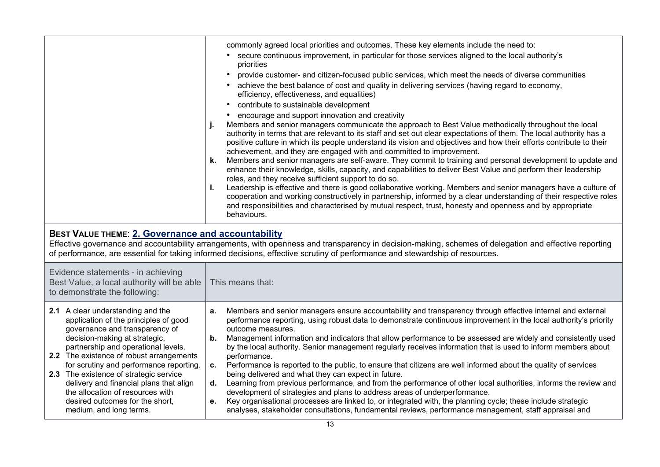|                                                                                                                                                                                                                                                                                                                                                                                                                                                                    | commonly agreed local priorities and outcomes. These key elements include the need to:<br>secure continuous improvement, in particular for those services aligned to the local authority's<br>priorities<br>provide customer- and citizen-focused public services, which meet the needs of diverse communities<br>achieve the best balance of cost and quality in delivering services (having regard to economy,<br>efficiency, effectiveness, and equalities)<br>contribute to sustainable development<br>encourage and support innovation and creativity<br>Members and senior managers communicate the approach to Best Value methodically throughout the local<br>authority in terms that are relevant to its staff and set out clear expectations of them. The local authority has a<br>positive culture in which its people understand its vision and objectives and how their efforts contribute to their<br>achievement, and they are engaged with and committed to improvement.<br>Members and senior managers are self-aware. They commit to training and personal development to update and<br>k.<br>enhance their knowledge, skills, capacity, and capabilities to deliver Best Value and perform their leadership<br>roles, and they receive sufficient support to do so.<br>Leadership is effective and there is good collaborative working. Members and senior managers have a culture of<br>ı.<br>cooperation and working constructively in partnership, informed by a clear understanding of their respective roles<br>and responsibilities and characterised by mutual respect, trust, honesty and openness and by appropriate<br>behaviours. |
|--------------------------------------------------------------------------------------------------------------------------------------------------------------------------------------------------------------------------------------------------------------------------------------------------------------------------------------------------------------------------------------------------------------------------------------------------------------------|-----------------------------------------------------------------------------------------------------------------------------------------------------------------------------------------------------------------------------------------------------------------------------------------------------------------------------------------------------------------------------------------------------------------------------------------------------------------------------------------------------------------------------------------------------------------------------------------------------------------------------------------------------------------------------------------------------------------------------------------------------------------------------------------------------------------------------------------------------------------------------------------------------------------------------------------------------------------------------------------------------------------------------------------------------------------------------------------------------------------------------------------------------------------------------------------------------------------------------------------------------------------------------------------------------------------------------------------------------------------------------------------------------------------------------------------------------------------------------------------------------------------------------------------------------------------------------------------------------------------------------------------------------------------|
| <b>BEST VALUE THEME: 2. Governance and accountability</b>                                                                                                                                                                                                                                                                                                                                                                                                          | Effective governance and accountability arrangements, with openness and transparency in decision-making, schemes of delegation and effective reporting<br>of performance, are essential for taking informed decisions, effective scrutiny of performance and stewardship of resources.                                                                                                                                                                                                                                                                                                                                                                                                                                                                                                                                                                                                                                                                                                                                                                                                                                                                                                                                                                                                                                                                                                                                                                                                                                                                                                                                                                          |
| Evidence statements - in achieving<br>Best Value, a local authority will be able<br>to demonstrate the following:                                                                                                                                                                                                                                                                                                                                                  | This means that:                                                                                                                                                                                                                                                                                                                                                                                                                                                                                                                                                                                                                                                                                                                                                                                                                                                                                                                                                                                                                                                                                                                                                                                                                                                                                                                                                                                                                                                                                                                                                                                                                                                |
| 2.1 A clear understanding and the<br>application of the principles of good<br>governance and transparency of<br>decision-making at strategic,<br>partnership and operational levels.<br>2.2 The existence of robust arrangements<br>for scrutiny and performance reporting.<br>2.3 The existence of strategic service<br>delivery and financial plans that align<br>the allocation of resources with<br>desired outcomes for the short,<br>medium, and long terms. | Members and senior managers ensure accountability and transparency through effective internal and external<br>а.<br>performance reporting, using robust data to demonstrate continuous improvement in the local authority's priority<br>outcome measures.<br>Management information and indicators that allow performance to be assessed are widely and consistently used<br>b.<br>by the local authority. Senior management regularly receives information that is used to inform members about<br>performance.<br>Performance is reported to the public, to ensure that citizens are well informed about the quality of services<br>c.<br>being delivered and what they can expect in future.<br>Learning from previous performance, and from the performance of other local authorities, informs the review and<br>d.<br>development of strategies and plans to address areas of underperformance.<br>Key organisational processes are linked to, or integrated with, the planning cycle; these include strategic<br>е.<br>analyses, stakeholder consultations, fundamental reviews, performance management, staff appraisal and                                                                                                                                                                                                                                                                                                                                                                                                                                                                                                                             |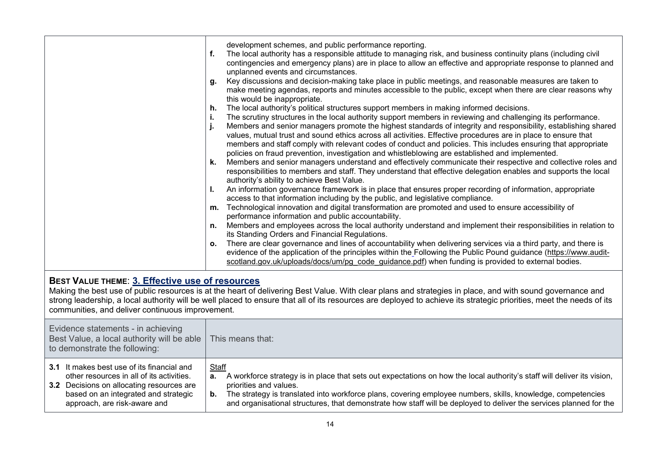| BEST VALUE THEME: 3. Effective use of resources<br>communities, and deliver continuous improvement.                                                                                                          | development schemes, and public performance reporting.<br>f.<br>The local authority has a responsible attitude to managing risk, and business continuity plans (including civil<br>contingencies and emergency plans) are in place to allow an effective and appropriate response to planned and<br>unplanned events and circumstances.<br>Key discussions and decision-making take place in public meetings, and reasonable measures are taken to<br>g.<br>make meeting agendas, reports and minutes accessible to the public, except when there are clear reasons why<br>this would be inappropriate.<br>The local authority's political structures support members in making informed decisions.<br>h.<br>The scrutiny structures in the local authority support members in reviewing and challenging its performance.<br>j.<br>Members and senior managers promote the highest standards of integrity and responsibility, establishing shared<br>j.<br>values, mutual trust and sound ethics across all activities. Effective procedures are in place to ensure that<br>members and staff comply with relevant codes of conduct and policies. This includes ensuring that appropriate<br>policies on fraud prevention, investigation and whistleblowing are established and implemented.<br>Members and senior managers understand and effectively communicate their respective and collective roles and<br>k.<br>responsibilities to members and staff. They understand that effective delegation enables and supports the local<br>authority's ability to achieve Best Value.<br>An information governance framework is in place that ensures proper recording of information, appropriate<br>L.<br>access to that information including by the public, and legislative compliance.<br>m. Technological innovation and digital transformation are promoted and used to ensure accessibility of<br>performance information and public accountability.<br>Members and employees across the local authority understand and implement their responsibilities in relation to<br>n.<br>its Standing Orders and Financial Regulations.<br>There are clear governance and lines of accountability when delivering services via a third party, and there is<br>0.<br>evidence of the application of the principles within the Following the Public Pound guidance (https://www.audit-<br>scotland.gov.uk/uploads/docs/um/pg_code_quidance.pdf) when funding is provided to external bodies.<br>Making the best use of public resources is at the heart of delivering Best Value. With clear plans and strategies in place, and with sound governance and<br>strong leadership, a local authority will be well placed to ensure that all of its resources are deployed to achieve its strategic priorities, meet the needs of its |
|--------------------------------------------------------------------------------------------------------------------------------------------------------------------------------------------------------------|-------------------------------------------------------------------------------------------------------------------------------------------------------------------------------------------------------------------------------------------------------------------------------------------------------------------------------------------------------------------------------------------------------------------------------------------------------------------------------------------------------------------------------------------------------------------------------------------------------------------------------------------------------------------------------------------------------------------------------------------------------------------------------------------------------------------------------------------------------------------------------------------------------------------------------------------------------------------------------------------------------------------------------------------------------------------------------------------------------------------------------------------------------------------------------------------------------------------------------------------------------------------------------------------------------------------------------------------------------------------------------------------------------------------------------------------------------------------------------------------------------------------------------------------------------------------------------------------------------------------------------------------------------------------------------------------------------------------------------------------------------------------------------------------------------------------------------------------------------------------------------------------------------------------------------------------------------------------------------------------------------------------------------------------------------------------------------------------------------------------------------------------------------------------------------------------------------------------------------------------------------------------------------------------------------------------------------------------------------------------------------------------------------------------------------------------------------------------------------------------------------------------------------------------------------------------------------------------------------------------------------------------------------------------------------------------------------------------------------------------------------------------------------------------------------------------------------|
| Evidence statements - in achieving<br>Best Value, a local authority will be able<br>to demonstrate the following:                                                                                            | This means that:                                                                                                                                                                                                                                                                                                                                                                                                                                                                                                                                                                                                                                                                                                                                                                                                                                                                                                                                                                                                                                                                                                                                                                                                                                                                                                                                                                                                                                                                                                                                                                                                                                                                                                                                                                                                                                                                                                                                                                                                                                                                                                                                                                                                                                                                                                                                                                                                                                                                                                                                                                                                                                                                                                                                                                                                              |
| 3.1 It makes best use of its financial and<br>other resources in all of its activities.<br>3.2 Decisions on allocating resources are<br>based on an integrated and strategic<br>approach, are risk-aware and | <b>Staff</b><br>A workforce strategy is in place that sets out expectations on how the local authority's staff will deliver its vision,<br>а.<br>priorities and values.<br><b>b.</b> The strategy is translated into workforce plans, covering employee numbers, skills, knowledge, competencies<br>and organisational structures, that demonstrate how staff will be deployed to deliver the services planned for the                                                                                                                                                                                                                                                                                                                                                                                                                                                                                                                                                                                                                                                                                                                                                                                                                                                                                                                                                                                                                                                                                                                                                                                                                                                                                                                                                                                                                                                                                                                                                                                                                                                                                                                                                                                                                                                                                                                                                                                                                                                                                                                                                                                                                                                                                                                                                                                                        |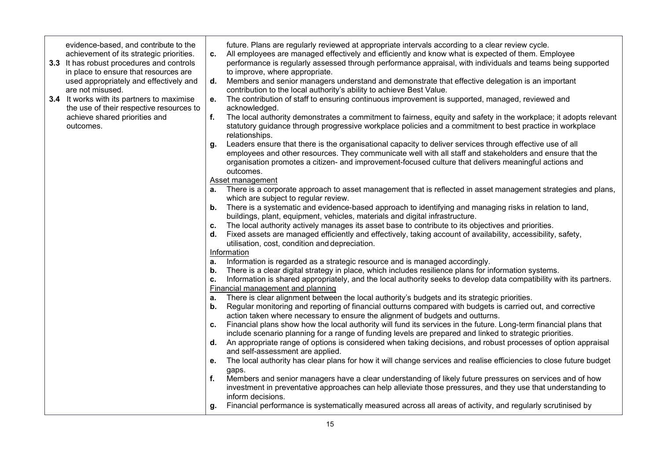evidence-based, and contribute to the achievement of its strategic priorities.

- **3.3** It has robust procedures and controls in place to ensure that resources are used appropriately and effectively and are not misused.
- **3.4** It works with its partners to maximise the use of their respective resources to achieve shared priorities and outcomes.

future. Plans are regularly reviewed at appropriate intervals according to a clear review cycle.

- **c.** All employees are managed effectively and efficiently and know what is expected of them. Employee performance is regularly assessed through performance appraisal, with individuals and teams being supported to improve, where appropriate.
- **d.** Members and senior managers understand and demonstrate that effective delegation is an important contribution to the local authority's ability to achieve Best Value.
- **e.** The contribution of staff to ensuring continuous improvement is supported, managed, reviewed and acknowledged.
- **f.** The local authority demonstrates a commitment to fairness, equity and safety in the workplace; it adopts relevant statutory guidance through progressive workplace policies and a commitment to best practice in workplace relationships.
- **g.** Leaders ensure that there is the organisational capacity to deliver services through effective use of all employees and other resources. They communicate well with all staff and stakeholders and ensure that the organisation promotes a citizen- and improvement-focused culture that delivers meaningful actions and outcomes.

Asset management

- **a.** There is a corporate approach to asset management that is reflected in asset management strategies and plans, which are subject to regular review.
- **b.** There is a systematic and evidence-based approach to identifying and managing risks in relation to land, buildings, plant, equipment, vehicles, materials and digital infrastructure.
- **c.** The local authority actively manages its asset base to contribute to its objectives and priorities.
- **d.** Fixed assets are managed efficiently and effectively, taking account of availability, accessibility, safety, utilisation, cost, condition and depreciation.

#### Information

- **a.** Information is regarded as a strategic resource and is managed accordingly.
- **b.** There is a clear digital strategy in place, which includes resilience plans for information systems.
- **c.** Information is shared appropriately, and the local authority seeks to develop data compatibility with its partners. Financial management and planning
- **a.** There is clear alignment between the local authority's budgets and its strategic priorities.
- **b.** Regular monitoring and reporting of financial outturns compared with budgets is carried out, and corrective action taken where necessary to ensure the alignment of budgets and outturns.
- **c.** Financial plans show how the local authority will fund its services in the future. Long-term financial plans that include scenario planning for a range of funding levels are prepared and linked to strategic priorities.
- **d.** An appropriate range of options is considered when taking decisions, and robust processes of option appraisal and self-assessment are applied.
- **e.** The local authority has clear plans for how it will change services and realise efficiencies to close future budget gaps.
- **f.** Members and senior managers have a clear understanding of likely future pressures on services and of how investment in preventative approaches can help alleviate those pressures, and they use that understanding to inform decisions.
- **g.** Financial performance is systematically measured across all areas of activity, and regularly scrutinised by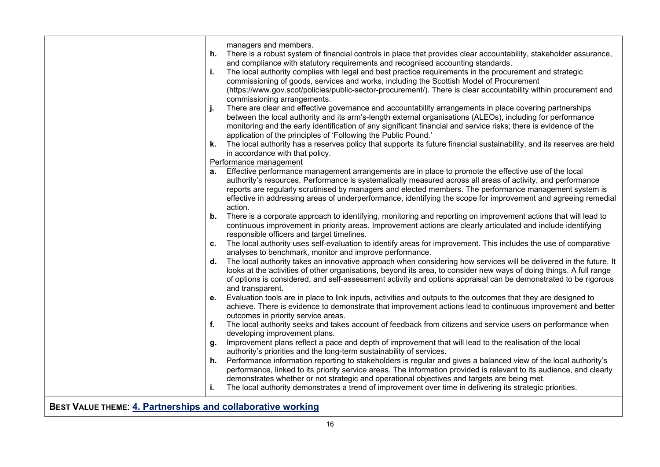| managers and members.<br>There is a robust system of financial controls in place that provides clear accountability, stakeholder assurance,<br>h.<br>and compliance with statutory requirements and recognised accounting standards.<br>The local authority complies with legal and best practice requirements in the procurement and strategic<br>i.<br>commissioning of goods, services and works, including the Scottish Model of Procurement<br>(https://www.gov.scot/policies/public-sector-procurement/). There is clear accountability within procurement and<br>commissioning arrangements.<br>There are clear and effective governance and accountability arrangements in place covering partnerships<br>between the local authority and its arm's-length external organisations (ALEOs), including for performance<br>monitoring and the early identification of any significant financial and service risks; there is evidence of the<br>application of the principles of 'Following the Public Pound.' |  |
|--------------------------------------------------------------------------------------------------------------------------------------------------------------------------------------------------------------------------------------------------------------------------------------------------------------------------------------------------------------------------------------------------------------------------------------------------------------------------------------------------------------------------------------------------------------------------------------------------------------------------------------------------------------------------------------------------------------------------------------------------------------------------------------------------------------------------------------------------------------------------------------------------------------------------------------------------------------------------------------------------------------------|--|
|                                                                                                                                                                                                                                                                                                                                                                                                                                                                                                                                                                                                                                                                                                                                                                                                                                                                                                                                                                                                                    |  |
|                                                                                                                                                                                                                                                                                                                                                                                                                                                                                                                                                                                                                                                                                                                                                                                                                                                                                                                                                                                                                    |  |
| k. The local authority has a reserves policy that supports its future financial sustainability, and its reserves are held<br>in accordance with that policy.                                                                                                                                                                                                                                                                                                                                                                                                                                                                                                                                                                                                                                                                                                                                                                                                                                                       |  |
| Performance management                                                                                                                                                                                                                                                                                                                                                                                                                                                                                                                                                                                                                                                                                                                                                                                                                                                                                                                                                                                             |  |
| Effective performance management arrangements are in place to promote the effective use of the local<br>а.<br>authority's resources. Performance is systematically measured across all areas of activity, and performance<br>reports are regularly scrutinised by managers and elected members. The performance management system is<br>effective in addressing areas of underperformance, identifying the scope for improvement and agreeing remedial<br>action.                                                                                                                                                                                                                                                                                                                                                                                                                                                                                                                                                  |  |
| There is a corporate approach to identifying, monitoring and reporting on improvement actions that will lead to<br>b.<br>continuous improvement in priority areas. Improvement actions are clearly articulated and include identifying<br>responsible officers and target timelines.                                                                                                                                                                                                                                                                                                                                                                                                                                                                                                                                                                                                                                                                                                                               |  |
| The local authority uses self-evaluation to identify areas for improvement. This includes the use of comparative<br>C.<br>analyses to benchmark, monitor and improve performance.                                                                                                                                                                                                                                                                                                                                                                                                                                                                                                                                                                                                                                                                                                                                                                                                                                  |  |
| The local authority takes an innovative approach when considering how services will be delivered in the future. It<br>d.<br>looks at the activities of other organisations, beyond its area, to consider new ways of doing things. A full range<br>of options is considered, and self-assessment activity and options appraisal can be demonstrated to be rigorous<br>and transparent.                                                                                                                                                                                                                                                                                                                                                                                                                                                                                                                                                                                                                             |  |
| Evaluation tools are in place to link inputs, activities and outputs to the outcomes that they are designed to<br>е.<br>achieve. There is evidence to demonstrate that improvement actions lead to continuous improvement and better<br>outcomes in priority service areas.                                                                                                                                                                                                                                                                                                                                                                                                                                                                                                                                                                                                                                                                                                                                        |  |
| f.<br>The local authority seeks and takes account of feedback from citizens and service users on performance when<br>developing improvement plans.                                                                                                                                                                                                                                                                                                                                                                                                                                                                                                                                                                                                                                                                                                                                                                                                                                                                 |  |
| Improvement plans reflect a pace and depth of improvement that will lead to the realisation of the local<br>g.<br>authority's priorities and the long-term sustainability of services.                                                                                                                                                                                                                                                                                                                                                                                                                                                                                                                                                                                                                                                                                                                                                                                                                             |  |
| Performance information reporting to stakeholders is regular and gives a balanced view of the local authority's<br>h.<br>performance, linked to its priority service areas. The information provided is relevant to its audience, and clearly<br>demonstrates whether or not strategic and operational objectives and targets are being met.<br>The local authority demonstrates a trend of improvement over time in delivering its strategic priorities.<br>i.                                                                                                                                                                                                                                                                                                                                                                                                                                                                                                                                                    |  |
|                                                                                                                                                                                                                                                                                                                                                                                                                                                                                                                                                                                                                                                                                                                                                                                                                                                                                                                                                                                                                    |  |

**BEST VALUE THEME**: **4. Partnerships and collaborative working**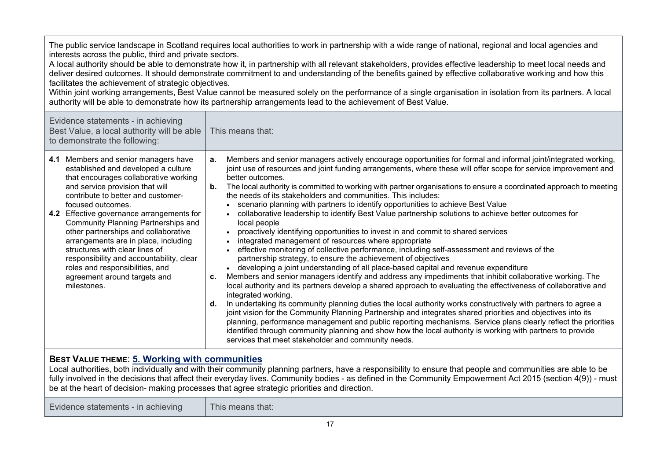| The public service landscape in Scotland requires local authorities to work in partnership with a wide range of national, regional and local agencies and<br>interests across the public, third and private sectors.<br>A local authority should be able to demonstrate how it, in partnership with all relevant stakeholders, provides effective leadership to meet local needs and<br>deliver desired outcomes. It should demonstrate commitment to and understanding of the benefits gained by effective collaborative working and how this<br>facilitates the achievement of strategic objectives.<br>Within joint working arrangements, Best Value cannot be measured solely on the performance of a single organisation in isolation from its partners. A local<br>authority will be able to demonstrate how its partnership arrangements lead to the achievement of Best Value. |                                                                                                                                                                                                                                                                                                                                                                                                                                                                                                                                                                                                                                                                                                                                                                                                                                                                                                                                                                                                                                                                                                                                                                                                                                                                                                                                                                                                                                                                                                                                                                                                                                                                                                                                                                                                                                                                                   |  |  |  |  |
|----------------------------------------------------------------------------------------------------------------------------------------------------------------------------------------------------------------------------------------------------------------------------------------------------------------------------------------------------------------------------------------------------------------------------------------------------------------------------------------------------------------------------------------------------------------------------------------------------------------------------------------------------------------------------------------------------------------------------------------------------------------------------------------------------------------------------------------------------------------------------------------|-----------------------------------------------------------------------------------------------------------------------------------------------------------------------------------------------------------------------------------------------------------------------------------------------------------------------------------------------------------------------------------------------------------------------------------------------------------------------------------------------------------------------------------------------------------------------------------------------------------------------------------------------------------------------------------------------------------------------------------------------------------------------------------------------------------------------------------------------------------------------------------------------------------------------------------------------------------------------------------------------------------------------------------------------------------------------------------------------------------------------------------------------------------------------------------------------------------------------------------------------------------------------------------------------------------------------------------------------------------------------------------------------------------------------------------------------------------------------------------------------------------------------------------------------------------------------------------------------------------------------------------------------------------------------------------------------------------------------------------------------------------------------------------------------------------------------------------------------------------------------------------|--|--|--|--|
| Evidence statements - in achieving<br>Best Value, a local authority will be able<br>to demonstrate the following:                                                                                                                                                                                                                                                                                                                                                                                                                                                                                                                                                                                                                                                                                                                                                                      | This means that:                                                                                                                                                                                                                                                                                                                                                                                                                                                                                                                                                                                                                                                                                                                                                                                                                                                                                                                                                                                                                                                                                                                                                                                                                                                                                                                                                                                                                                                                                                                                                                                                                                                                                                                                                                                                                                                                  |  |  |  |  |
| 4.1 Members and senior managers have<br>established and developed a culture<br>that encourages collaborative working<br>and service provision that will<br>contribute to better and customer-<br>focused outcomes.<br>4.2 Effective governance arrangements for<br><b>Community Planning Partnerships and</b><br>other partnerships and collaborative<br>arrangements are in place, including<br>structures with clear lines of<br>responsibility and accountability, clear<br>roles and responsibilities, and<br>agreement around targets and<br>milestones.                                                                                                                                                                                                                                                                                                                          | Members and senior managers actively encourage opportunities for formal and informal joint/integrated working,<br>a.<br>joint use of resources and joint funding arrangements, where these will offer scope for service improvement and<br>better outcomes.<br>The local authority is committed to working with partner organisations to ensure a coordinated approach to meeting<br>b.<br>the needs of its stakeholders and communities. This includes:<br>scenario planning with partners to identify opportunities to achieve Best Value<br>collaborative leadership to identify Best Value partnership solutions to achieve better outcomes for<br>$\bullet$<br>local people<br>proactively identifying opportunities to invest in and commit to shared services<br>integrated management of resources where appropriate<br>effective monitoring of collective performance, including self-assessment and reviews of the<br>partnership strategy, to ensure the achievement of objectives<br>• developing a joint understanding of all place-based capital and revenue expenditure<br>Members and senior managers identify and address any impediments that inhibit collaborative working. The<br>c.<br>local authority and its partners develop a shared approach to evaluating the effectiveness of collaborative and<br>integrated working.<br>In undertaking its community planning duties the local authority works constructively with partners to agree a<br>d.<br>joint vision for the Community Planning Partnership and integrates shared priorities and objectives into its<br>planning, performance management and public reporting mechanisms. Service plans clearly reflect the priorities<br>identified through community planning and show how the local authority is working with partners to provide<br>services that meet stakeholder and community needs. |  |  |  |  |
| <b>BEST VALUE THEME: 5. Working with communities</b><br>Local authorities, both individually and with their community planning partners, have a responsibility to ensure that people and communities are able to be<br>fully involved in the decisions that affect their everyday lives. Community bodies - as defined in the Community Empowerment Act 2015 (section 4(9)) - must<br>be at the heart of decision- making processes that agree strategic priorities and direction.                                                                                                                                                                                                                                                                                                                                                                                                     |                                                                                                                                                                                                                                                                                                                                                                                                                                                                                                                                                                                                                                                                                                                                                                                                                                                                                                                                                                                                                                                                                                                                                                                                                                                                                                                                                                                                                                                                                                                                                                                                                                                                                                                                                                                                                                                                                   |  |  |  |  |
| Evidence statements - in achieving                                                                                                                                                                                                                                                                                                                                                                                                                                                                                                                                                                                                                                                                                                                                                                                                                                                     | This means that:                                                                                                                                                                                                                                                                                                                                                                                                                                                                                                                                                                                                                                                                                                                                                                                                                                                                                                                                                                                                                                                                                                                                                                                                                                                                                                                                                                                                                                                                                                                                                                                                                                                                                                                                                                                                                                                                  |  |  |  |  |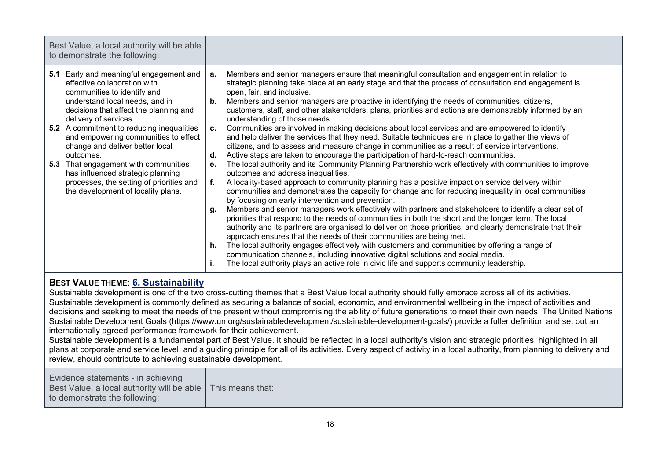| Best Value, a local authority will be able<br>to demonstrate the following:                                                                                                                                                                                                                                                                                                                                                                                                                                               |                                                                                                                                                                                                                                                                                                                                                                                                                                                                                                                                                                                                                                                                                                                                                                                                                                                                                                                                                                                                                                                                                                                                                                                                                                                                                                                                                                                                                                                                                                                                                                                                                                                                                                                                                                                                                                                                                                                                                                                                                                                            |
|---------------------------------------------------------------------------------------------------------------------------------------------------------------------------------------------------------------------------------------------------------------------------------------------------------------------------------------------------------------------------------------------------------------------------------------------------------------------------------------------------------------------------|------------------------------------------------------------------------------------------------------------------------------------------------------------------------------------------------------------------------------------------------------------------------------------------------------------------------------------------------------------------------------------------------------------------------------------------------------------------------------------------------------------------------------------------------------------------------------------------------------------------------------------------------------------------------------------------------------------------------------------------------------------------------------------------------------------------------------------------------------------------------------------------------------------------------------------------------------------------------------------------------------------------------------------------------------------------------------------------------------------------------------------------------------------------------------------------------------------------------------------------------------------------------------------------------------------------------------------------------------------------------------------------------------------------------------------------------------------------------------------------------------------------------------------------------------------------------------------------------------------------------------------------------------------------------------------------------------------------------------------------------------------------------------------------------------------------------------------------------------------------------------------------------------------------------------------------------------------------------------------------------------------------------------------------------------------|
| 5.1 Early and meaningful engagement and<br>effective collaboration with<br>communities to identify and<br>understand local needs, and in<br>decisions that affect the planning and<br>delivery of services.<br><b>5.2</b> A commitment to reducing inequalities<br>and empowering communities to effect<br>change and deliver better local<br>outcomes.<br>That engagement with communities<br>5.3<br>has influenced strategic planning<br>processes, the setting of priorities and<br>the development of locality plans. | Members and senior managers ensure that meaningful consultation and engagement in relation to<br>а.<br>strategic planning take place at an early stage and that the process of consultation and engagement is<br>open, fair, and inclusive.<br>Members and senior managers are proactive in identifying the needs of communities, citizens,<br>b.<br>customers, staff, and other stakeholders; plans, priorities and actions are demonstrably informed by an<br>understanding of those needs.<br>Communities are involved in making decisions about local services and are empowered to identify<br>C.<br>and help deliver the services that they need. Suitable techniques are in place to gather the views of<br>citizens, and to assess and measure change in communities as a result of service interventions.<br>Active steps are taken to encourage the participation of hard-to-reach communities.<br>d.<br>The local authority and its Community Planning Partnership work effectively with communities to improve<br>е.<br>outcomes and address inequalities.<br>A locality-based approach to community planning has a positive impact on service delivery within<br>f.<br>communities and demonstrates the capacity for change and for reducing inequality in local communities<br>by focusing on early intervention and prevention.<br>Members and senior managers work effectively with partners and stakeholders to identify a clear set of<br>q.<br>priorities that respond to the needs of communities in both the short and the longer term. The local<br>authority and its partners are organised to deliver on those priorities, and clearly demonstrate that their<br>approach ensures that the needs of their communities are being met.<br>The local authority engages effectively with customers and communities by offering a range of<br>h.<br>communication channels, including innovative digital solutions and social media.<br>The local authority plays an active role in civic life and supports community leadership.<br>ъ. |
|                                                                                                                                                                                                                                                                                                                                                                                                                                                                                                                           |                                                                                                                                                                                                                                                                                                                                                                                                                                                                                                                                                                                                                                                                                                                                                                                                                                                                                                                                                                                                                                                                                                                                                                                                                                                                                                                                                                                                                                                                                                                                                                                                                                                                                                                                                                                                                                                                                                                                                                                                                                                            |

# **BEST VALUE THEME**: **6. Sustainability**

Sustainable development is one of the two cross-cutting themes that a Best Value local authority should fully embrace across all of its activities. Sustainable development is commonly defined as securing a balance of social, economic, and environmental wellbeing in the impact of activities and decisions and seeking to meet the needs of the present without compromising the ability of future generations to meet their own needs. The United Nations Sustainable Development [Goals \(https://www.un.org/sustainabledevelopment/sustainable-development-goals/\)](https://www.un.org/sustainabledevelopment/sustainable-development-goals/) provide a fuller definition and set out an internationally agreed performance framework for their achievement.

Sustainable development is a fundamental part of Best Value. It should be reflected in a local authority's vision and strategic priorities, highlighted in all plans at corporate and service level, and a quiding principle for all of its activities. Every aspect of activity in a local authority, from planning to delivery and review, should contribute to achieving sustainable development.

Evidence statements - in achieving Best Value, a local authority will be able to demonstrate the following: This means that: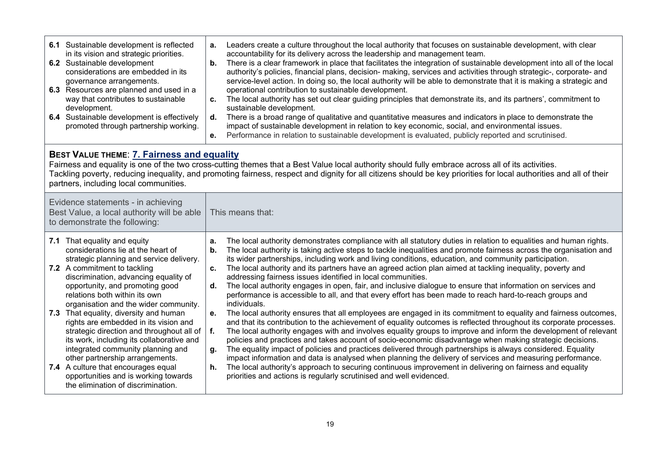| 6.1 Sustainable development is reflected<br>in its vision and strategic priorities.<br>6.2 Sustainable development<br>considerations are embedded in its<br>governance arrangements.<br>6.3 Resources are planned and used in a<br>way that contributes to sustainable<br>development.<br>6.4 Sustainable development is effectively<br>promoted through partnership working.                                                                                                                                                                                                                                                                                                  | Leaders create a culture throughout the local authority that focuses on sustainable development, with clear<br>а.<br>accountability for its delivery across the leadership and management team.<br>There is a clear framework in place that facilitates the integration of sustainable development into all of the local<br>b.<br>authority's policies, financial plans, decision- making, services and activities through strategic-, corporate- and<br>service-level action. In doing so, the local authority will be able to demonstrate that it is making a strategic and<br>operational contribution to sustainable development.<br>The local authority has set out clear guiding principles that demonstrate its, and its partners', commitment to<br>c.<br>sustainable development.<br>There is a broad range of qualitative and quantitative measures and indicators in place to demonstrate the<br>d.<br>impact of sustainable development in relation to key economic, social, and environmental issues.<br>Performance in relation to sustainable development is evaluated, publicly reported and scrutinised.<br>е.                                                                                                                                                                                                                                                                                                                                                                                                                                                                                                                                                                                |  |  |  |  |  |  |
|--------------------------------------------------------------------------------------------------------------------------------------------------------------------------------------------------------------------------------------------------------------------------------------------------------------------------------------------------------------------------------------------------------------------------------------------------------------------------------------------------------------------------------------------------------------------------------------------------------------------------------------------------------------------------------|----------------------------------------------------------------------------------------------------------------------------------------------------------------------------------------------------------------------------------------------------------------------------------------------------------------------------------------------------------------------------------------------------------------------------------------------------------------------------------------------------------------------------------------------------------------------------------------------------------------------------------------------------------------------------------------------------------------------------------------------------------------------------------------------------------------------------------------------------------------------------------------------------------------------------------------------------------------------------------------------------------------------------------------------------------------------------------------------------------------------------------------------------------------------------------------------------------------------------------------------------------------------------------------------------------------------------------------------------------------------------------------------------------------------------------------------------------------------------------------------------------------------------------------------------------------------------------------------------------------------------------------------------------------------------------------------------------------|--|--|--|--|--|--|
| BEST VALUE THEME: 7. Fairness and equality<br>partners, including local communities.                                                                                                                                                                                                                                                                                                                                                                                                                                                                                                                                                                                           | Fairness and equality is one of the two cross-cutting themes that a Best Value local authority should fully embrace across all of its activities.<br>Tackling poverty, reducing inequality, and promoting fairness, respect and dignity for all citizens should be key priorities for local authorities and all of their                                                                                                                                                                                                                                                                                                                                                                                                                                                                                                                                                                                                                                                                                                                                                                                                                                                                                                                                                                                                                                                                                                                                                                                                                                                                                                                                                                                       |  |  |  |  |  |  |
| Evidence statements - in achieving<br>Best Value, a local authority will be able<br>to demonstrate the following:                                                                                                                                                                                                                                                                                                                                                                                                                                                                                                                                                              | This means that:                                                                                                                                                                                                                                                                                                                                                                                                                                                                                                                                                                                                                                                                                                                                                                                                                                                                                                                                                                                                                                                                                                                                                                                                                                                                                                                                                                                                                                                                                                                                                                                                                                                                                               |  |  |  |  |  |  |
| 7.1 That equality and equity<br>considerations lie at the heart of<br>strategic planning and service delivery.<br>7.2 A commitment to tackling<br>discrimination, advancing equality of<br>opportunity, and promoting good<br>relations both within its own<br>organisation and the wider community.<br>7.3 That equality, diversity and human<br>rights are embedded in its vision and<br>strategic direction and throughout all of<br>its work, including its collaborative and<br>integrated community planning and<br>other partnership arrangements.<br>7.4 A culture that encourages equal<br>opportunities and is working towards<br>the elimination of discrimination. | The local authority demonstrates compliance with all statutory duties in relation to equalities and human rights.<br>a.<br>The local authority is taking active steps to tackle inequalities and promote fairness across the organisation and<br>b.<br>its wider partnerships, including work and living conditions, education, and community participation.<br>The local authority and its partners have an agreed action plan aimed at tackling inequality, poverty and<br>c.<br>addressing fairness issues identified in local communities.<br>The local authority engages in open, fair, and inclusive dialogue to ensure that information on services and<br>d.<br>performance is accessible to all, and that every effort has been made to reach hard-to-reach groups and<br>individuals.<br>The local authority ensures that all employees are engaged in its commitment to equality and fairness outcomes,<br>е.<br>and that its contribution to the achievement of equality outcomes is reflected throughout its corporate processes.<br>f.<br>The local authority engages with and involves equality groups to improve and inform the development of relevant<br>policies and practices and takes account of socio-economic disadvantage when making strategic decisions.<br>The equality impact of policies and practices delivered through partnerships is always considered. Equality<br>g.<br>impact information and data is analysed when planning the delivery of services and measuring performance.<br>The local authority's approach to securing continuous improvement in delivering on fairness and equality<br>h.<br>priorities and actions is regularly scrutinised and well evidenced. |  |  |  |  |  |  |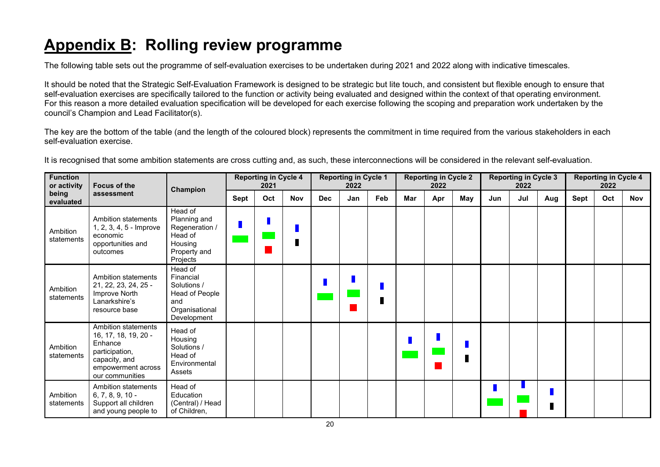# **Appendix B: Rolling review programme**

The following table sets out the programme of self-evaluation exercises to be undertaken during 2021 and 2022 along with indicative timescales.

It should be noted that the Strategic Self-Evaluation Framework is designed to be strategic but lite touch, and consistent but flexible enough to ensure that self-evaluation exercises are specifically tailored to the function or activity being evaluated and designed within the context of that operating environment. For this reason a more detailed evaluation specification will be developed for each exercise following the scoping and preparation work undertaken by the council's Champion and Lead Facilitator(s).

The key are the bottom of the table (and the length of the coloured block) represents the commitment in time required from the various stakeholders in each self-evaluation exercise.

It is recognised that some ambition statements are cross cutting and, as such, these interconnections will be considered in the relevant self-evaluation.

| <b>Function</b><br><b>Focus of the</b><br>or activity |                                                                                                                                    | Champion                                                                                      | <b>Reporting in Cycle 4</b><br>2021 |     |            | <b>Reporting in Cycle 1</b><br>2022 |     |     | <b>Reporting in Cycle 2</b><br>2022 |     |     | <b>Reporting in Cycle 3</b><br>2022 |     |     | <b>Reporting in Cycle 4</b><br>2022 |     |            |
|-------------------------------------------------------|------------------------------------------------------------------------------------------------------------------------------------|-----------------------------------------------------------------------------------------------|-------------------------------------|-----|------------|-------------------------------------|-----|-----|-------------------------------------|-----|-----|-------------------------------------|-----|-----|-------------------------------------|-----|------------|
| being<br>evaluated                                    | assessment                                                                                                                         |                                                                                               | Sept                                | Oct | <b>Nov</b> | <b>Dec</b>                          | Jan | Feb | Mar                                 | Apr | May | Jun                                 | Jul | Aug | <b>Sept</b>                         | Oct | <b>Nov</b> |
| Ambition<br>statements                                | <b>Ambition statements</b><br>1, 2, 3, 4, 5 - Improve<br>economic<br>opportunities and<br>outcomes                                 | Head of<br>Planning and<br>Regeneration /<br>Head of<br>Housing<br>Property and<br>Projects   |                                     |     |            |                                     |     |     |                                     |     |     |                                     |     |     |                                     |     |            |
| Ambition<br>statements                                | <b>Ambition statements</b><br>21, 22, 23, 24, 25 -<br>Improve North<br>Lanarkshire's<br>resource base                              | Head of<br>Financial<br>Solutions /<br>Head of People<br>and<br>Organisational<br>Development |                                     |     |            |                                     |     |     |                                     |     |     |                                     |     |     |                                     |     |            |
| Ambition<br>statements                                | Ambition statements<br>16, 17, 18, 19, 20 -<br>Enhance<br>participation,<br>capacity, and<br>empowerment across<br>our communities | Head of<br>Housing<br>Solutions /<br>Head of<br>Environmental<br>Assets                       |                                     |     |            |                                     |     |     |                                     |     |     |                                     |     |     |                                     |     |            |
| Ambition<br>statements                                | <b>Ambition statements</b><br>$6, 7, 8, 9, 10 -$<br>Support all children<br>and young people to                                    | Head of<br>Education<br>(Central) / Head<br>of Children,                                      |                                     |     |            |                                     |     |     |                                     |     |     |                                     |     |     |                                     |     |            |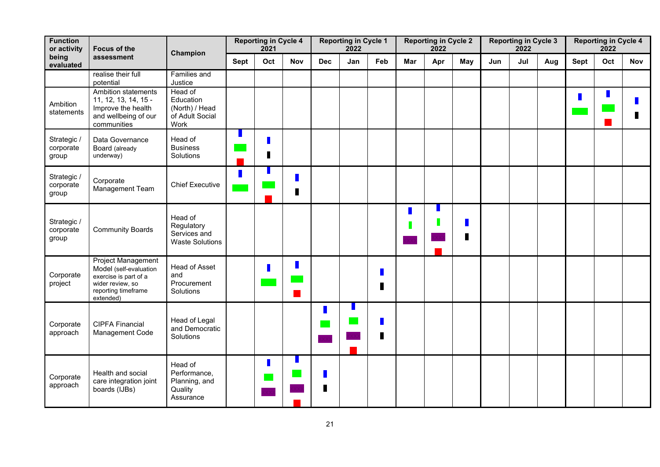| <b>Function</b><br>or activity<br><b>Focus of the</b> |                                                                                                                                      | Champion                                                          | <b>Reporting in Cycle 4</b><br>2021 |            | <b>Reporting in Cycle 1</b><br>2022 |        | <b>Reporting in Cycle 2</b><br>2022 |        | <b>Reporting in Cycle 3</b><br>2022 |     |     | <b>Reporting in Cycle 4</b><br>2022 |     |             |     |            |  |
|-------------------------------------------------------|--------------------------------------------------------------------------------------------------------------------------------------|-------------------------------------------------------------------|-------------------------------------|------------|-------------------------------------|--------|-------------------------------------|--------|-------------------------------------|-----|-----|-------------------------------------|-----|-------------|-----|------------|--|
| being<br>assessment<br>evaluated                      | <b>Sept</b>                                                                                                                          |                                                                   | Oct                                 | <b>Nov</b> | <b>Dec</b>                          | Jan    | Feb                                 | Mar    | Apr                                 | May | Jun | Jul                                 | Aug | <b>Sept</b> | Oct | <b>Nov</b> |  |
|                                                       | realise their full<br>potential                                                                                                      | Families and<br>Justice                                           |                                     |            |                                     |        |                                     |        |                                     |     |     |                                     |     |             |     |            |  |
| Ambition<br>statements                                | Ambition statements<br>11, 12, 13, 14, 15 -<br>Improve the health<br>and wellbeing of our<br>communities                             | Head of<br>Education<br>(North) / Head<br>of Adult Social<br>Work |                                     |            |                                     |        |                                     |        |                                     |     |     |                                     |     |             | П   | П          |  |
| Strategic /<br>corporate<br>group                     | Data Governance<br>Board (already<br>underway)                                                                                       | Head of<br><b>Business</b><br>Solutions                           |                                     | Г          |                                     |        |                                     |        |                                     |     |     |                                     |     |             |     |            |  |
| Strategic /<br>corporate<br>group                     | Corporate<br>Management Team                                                                                                         | <b>Chief Executive</b>                                            |                                     |            | п                                   |        |                                     |        |                                     |     |     |                                     |     |             |     |            |  |
| Strategic /<br>corporate<br>group                     | <b>Community Boards</b>                                                                                                              | Head of<br>Regulatory<br>Services and<br><b>Waste Solutions</b>   |                                     |            |                                     |        |                                     |        |                                     |     |     |                                     |     |             |     |            |  |
| Corporate<br>project                                  | <b>Project Management</b><br>Model (self-evaluation<br>exercise is part of a<br>wider review, so<br>reporting timeframe<br>extended) | Head of Asset<br>and<br>Procurement<br>Solutions                  |                                     |            |                                     |        |                                     | Г<br>L |                                     |     |     |                                     |     |             |     |            |  |
| Corporate<br>approach                                 | <b>CIPFA Financial</b><br>Management Code                                                                                            | Head of Legal<br>and Democratic<br>Solutions                      |                                     |            |                                     |        |                                     | Π<br>L |                                     |     |     |                                     |     |             |     |            |  |
| Corporate<br>approach                                 | Health and social<br>care integration joint<br>boards (IJBs)                                                                         | Head of<br>Performance,<br>Planning, and<br>Quality<br>Assurance  |                                     |            |                                     | Г<br>Г |                                     |        |                                     |     |     |                                     |     |             |     |            |  |